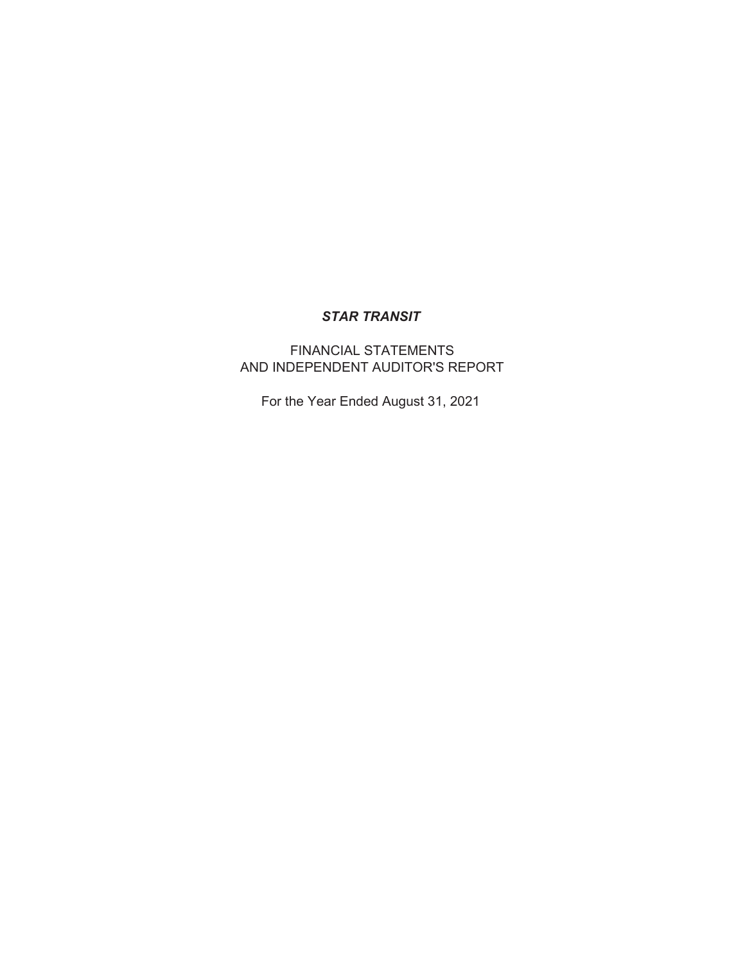# FINANCIAL STATEMENTS AND INDEPENDENT AUDITOR'S REPORT

For the Year Ended August 31, 2021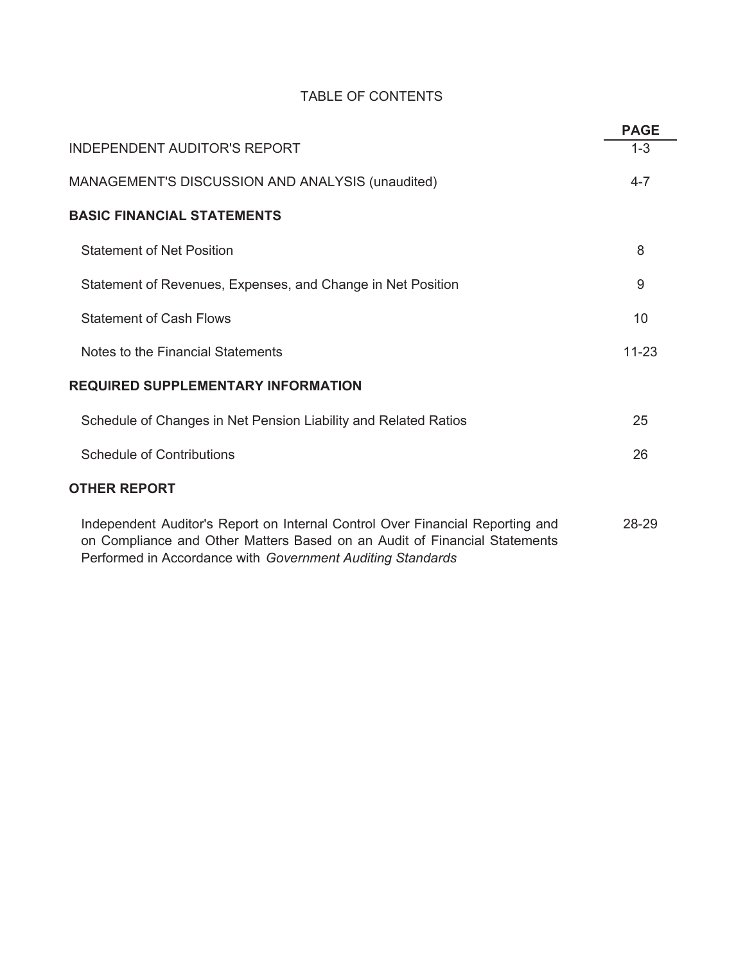# TABLE OF CONTENTS

|                                                                                                                                                                                                                          | <b>PAGE</b> |
|--------------------------------------------------------------------------------------------------------------------------------------------------------------------------------------------------------------------------|-------------|
| <b>INDEPENDENT AUDITOR'S REPORT</b>                                                                                                                                                                                      | $1 - 3$     |
| MANAGEMENT'S DISCUSSION AND ANALYSIS (unaudited)                                                                                                                                                                         | $4 - 7$     |
| <b>BASIC FINANCIAL STATEMENTS</b>                                                                                                                                                                                        |             |
| <b>Statement of Net Position</b>                                                                                                                                                                                         | 8           |
| Statement of Revenues, Expenses, and Change in Net Position                                                                                                                                                              | 9           |
| <b>Statement of Cash Flows</b>                                                                                                                                                                                           | 10          |
| Notes to the Financial Statements                                                                                                                                                                                        | $11 - 23$   |
| <b>REQUIRED SUPPLEMENTARY INFORMATION</b>                                                                                                                                                                                |             |
| Schedule of Changes in Net Pension Liability and Related Ratios                                                                                                                                                          | 25          |
| <b>Schedule of Contributions</b>                                                                                                                                                                                         | 26          |
| <b>OTHER REPORT</b>                                                                                                                                                                                                      |             |
| Independent Auditor's Report on Internal Control Over Financial Reporting and<br>on Compliance and Other Matters Based on an Audit of Financial Statements<br>Performed in Accordance with Government Auditing Standards | 28-29       |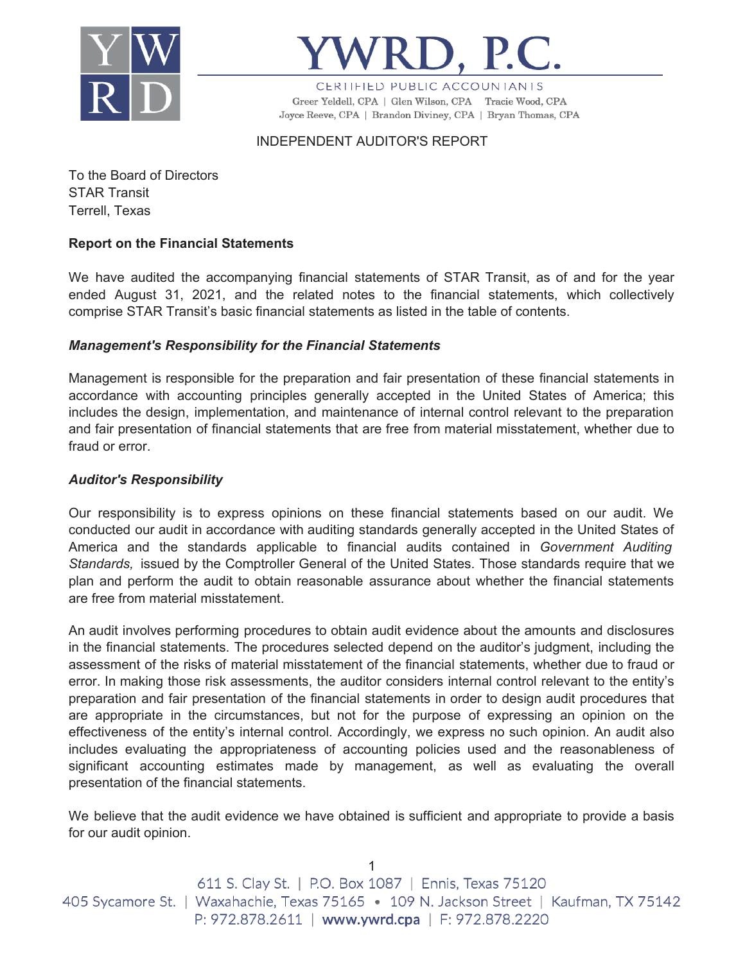



CERTIFIED PUBLIC ACCOUNTANTS Greer Yeldell, CPA | Glen Wilson, CPA Tracie Wood, CPA Joyce Reeve, CPA | Brandon Diviney, CPA | Bryan Thomas, CPA

INDEPENDENT AUDITOR'S REPORT

To the Board of Directors STAR Transit Terrell, Texas

## **Report on the Financial Statements**

We have audited the accompanying financial statements of STAR Transit, as of and for the year ended August 31, 2021, and the related notes to the financial statements, which collectively comprise STAR Transit's basic financial statements as listed in the table of contents.

### *Management's Responsibility for the Financial Statements*

Management is responsible for the preparation and fair presentation of these financial statements in accordance with accounting principles generally accepted in the United States of America; this includes the design, implementation, and maintenance of internal control relevant to the preparation and fair presentation of financial statements that are free from material misstatement, whether due to fraud or error.

### *Auditor's Responsibility*

Our responsibility is to express opinions on these financial statements based on our audit. We conducted our audit in accordance with auditing standards generally accepted in the United States of America and the standards applicable to financial audits contained in *Government Auditing Standards,* issued by the Comptroller General of the United States. Those standards require that we plan and perform the audit to obtain reasonable assurance about whether the financial statements are free from material misstatement.

An audit involves performing procedures to obtain audit evidence about the amounts and disclosures in the financial statements. The procedures selected depend on the auditor's judgment, including the assessment of the risks of material misstatement of the financial statements, whether due to fraud or error. In making those risk assessments, the auditor considers internal control relevant to the entity's preparation and fair presentation of the financial statements in order to design audit procedures that are appropriate in the circumstances, but not for the purpose of expressing an opinion on the effectiveness of the entity's internal control. Accordingly, we express no such opinion. An audit also includes evaluating the appropriateness of accounting policies used and the reasonableness of significant accounting estimates made by management, as well as evaluating the overall presentation of the financial statements.

We believe that the audit evidence we have obtained is sufficient and appropriate to provide a basis for our audit opinion.

| 611 S. Clay St.   P.O. Box 1087   Ennis, Texas 75120                                   |
|----------------------------------------------------------------------------------------|
| 405 Sycamore St.   Waxahachie, Texas 75165 • 109 N. Jackson Street   Kaufman, TX 75142 |
| P: 972.878.2611   www.ywrd.cpa   F: 972.878.2220                                       |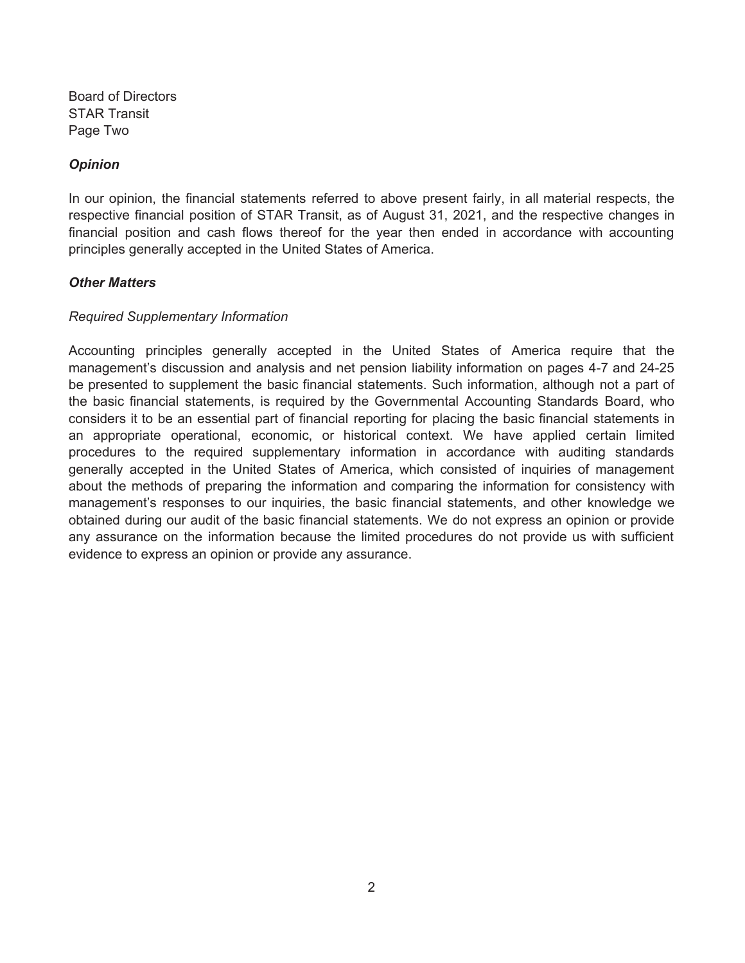Board of Directors STAR Transit Page Two

### *Opinion*

In our opinion, the financial statements referred to above present fairly, in all material respects, the respective financial position of STAR Transit, as of August 31, 2021, and the respective changes in financial position and cash flows thereof for the year then ended in accordance with accounting principles generally accepted in the United States of America.

### *Other Matters*

#### *Required Supplementary Information*

Accounting principles generally accepted in the United States of America require that the management's discussion and analysis and net pension liability information on pages 4-7 and 24-25 be presented to supplement the basic financial statements. Such information, although not a part of the basic financial statements, is required by the Governmental Accounting Standards Board, who considers it to be an essential part of financial reporting for placing the basic financial statements in an appropriate operational, economic, or historical context. We have applied certain limited procedures to the required supplementary information in accordance with auditing standards generally accepted in the United States of America, which consisted of inquiries of management about the methods of preparing the information and comparing the information for consistency with management's responses to our inquiries, the basic financial statements, and other knowledge we obtained during our audit of the basic financial statements. We do not express an opinion or provide any assurance on the information because the limited procedures do not provide us with sufficient evidence to express an opinion or provide any assurance.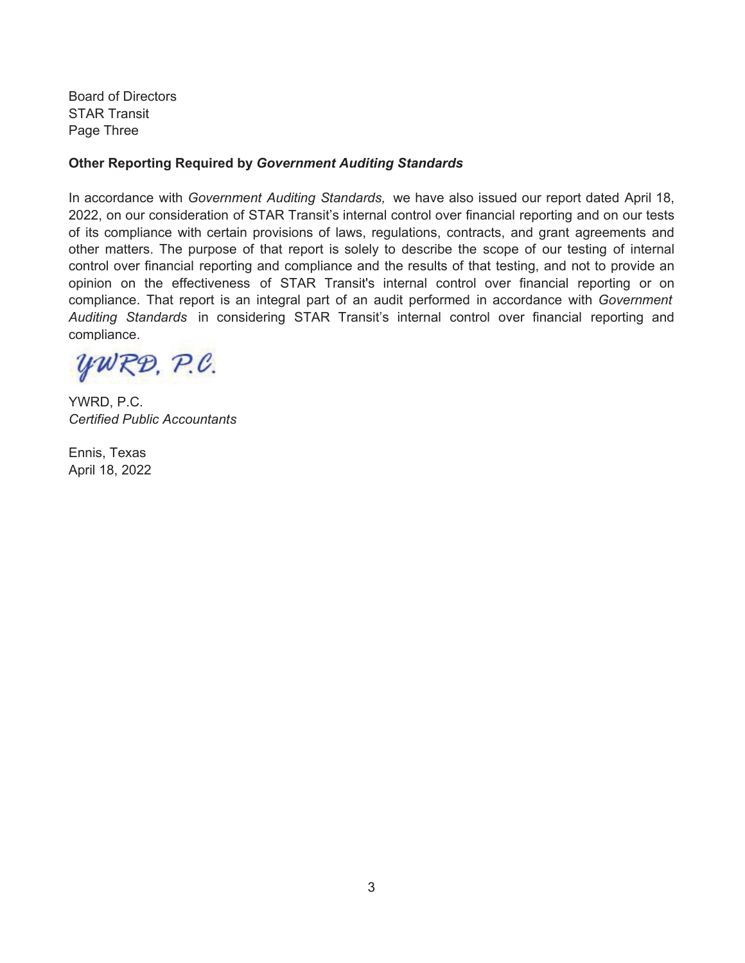Board of Directors STAR Transit Page Three

### **Other Reporting Required by** *Government Auditing Standards*

In accordance with *Government Auditing Standards,* we have also issued our report dated April 18, 2022, on our consideration of STAR Transit's internal control over financial reporting and on our tests of its compliance with certain provisions of laws, regulations, contracts, and grant agreements and other matters. The purpose of that report is solely to describe the scope of our testing of internal control over financial reporting and compliance and the results of that testing, and not to provide an opinion on the effectiveness of STAR Transit's internal control over financial reporting or on compliance. That report is an integral part of an audit performed in accordance with *Government Auditing Standards* in considering STAR Transit's internal control over financial reporting and compliance.

YWRD, P.C.

YWRD, P.C. *Certified Public Accountants*

Ennis, Texas April 18, 2022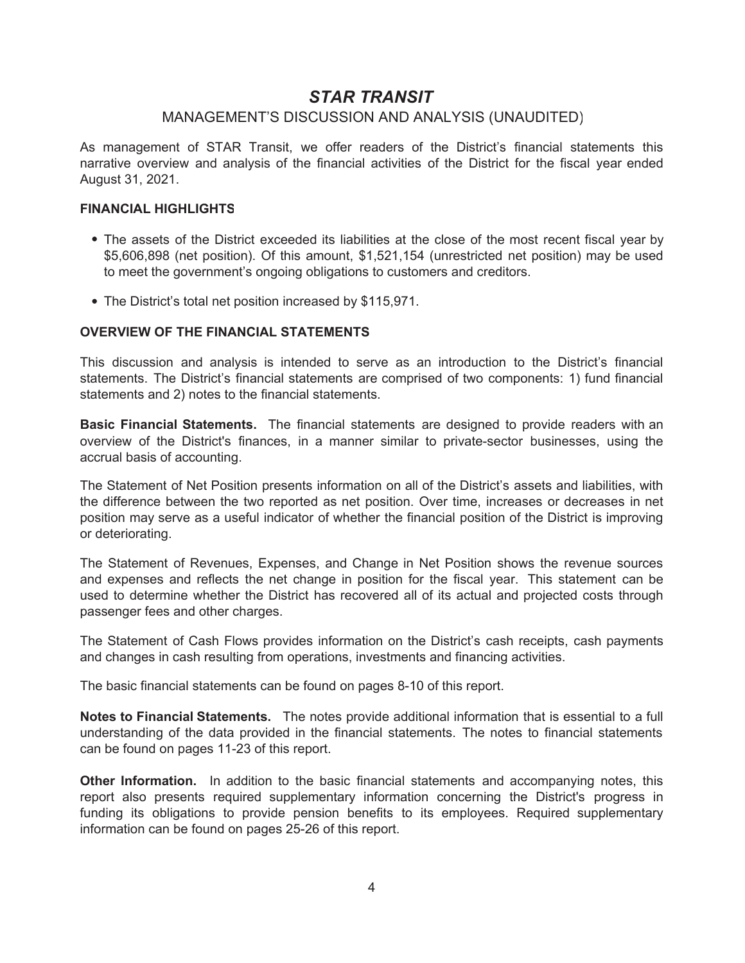### MANAGEMENT'S DISCUSSION AND ANALYSIS (UNAUDITED)

As management of STAR Transit, we offer readers of the District's financial statements this narrative overview and analysis of the financial activities of the District for the fiscal year ended August 31, 2021.

#### **FINANCIAL HIGHLIGHTS**

- The assets of the District exceeded its liabilities at the close of the most recent fiscal year by \$5,606,898 (net position). Of this amount, \$1,521,154 (unrestricted net position) may be used to meet the government's ongoing obligations to customers and creditors.
- The District's total net position increased by \$115,971.

#### **OVERVIEW OF THE FINANCIAL STATEMENTS**

This discussion and analysis is intended to serve as an introduction to the District's financial statements. The District's financial statements are comprised of two components: 1) fund financial statements and 2) notes to the financial statements.

**Basic Financial Statements.** The financial statements are designed to provide readers with an overview of the District's finances, in a manner similar to private-sector businesses, using the accrual basis of accounting.

The Statement of Net Position presents information on all of the District's assets and liabilities, with the difference between the two reported as net position. Over time, increases or decreases in net position may serve as a useful indicator of whether the financial position of the District is improving or deteriorating.

The Statement of Revenues, Expenses, and Change in Net Position shows the revenue sources and expenses and reflects the net change in position for the fiscal year. This statement can be used to determine whether the District has recovered all of its actual and projected costs through passenger fees and other charges.

The Statement of Cash Flows provides information on the District's cash receipts, cash payments and changes in cash resulting from operations, investments and financing activities.

The basic financial statements can be found on pages 8-10 of this report.

**Notes to Financial Statements.** The notes provide additional information that is essential to a full understanding of the data provided in the financial statements. The notes to financial statements can be found on pages 11-23 of this report.

**Other Information.** In addition to the basic financial statements and accompanying notes, this report also presents required supplementary information concerning the District's progress in funding its obligations to provide pension benefits to its employees. Required supplementary information can be found on pages 25-26 of this report.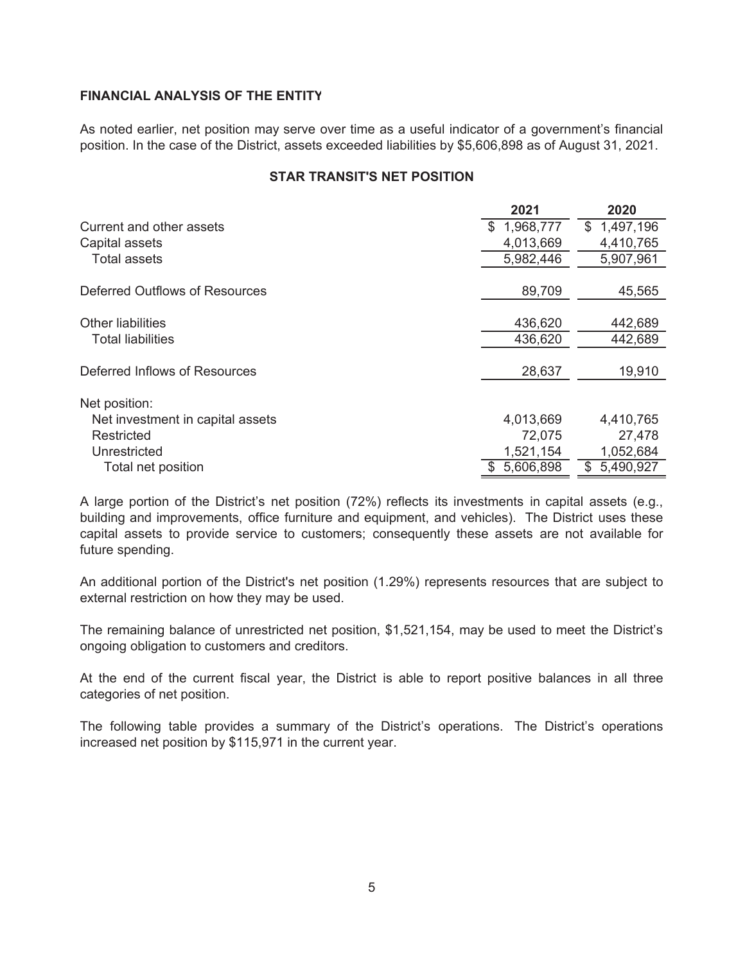### **FINANCIAL ANALYSIS OF THE ENTITY**

As noted earlier, net position may serve over time as a useful indicator of a government's financial position. In the case of the District, assets exceeded liabilities by \$5,606,898 as of August 31, 2021.

|  | <b>STAR TRANSIT'S NET POSITION</b> |  |  |
|--|------------------------------------|--|--|
|--|------------------------------------|--|--|

|                                  | 2021             | 2020            |
|----------------------------------|------------------|-----------------|
| Current and other assets         | 1,968,777<br>\$. | 1,497,196<br>\$ |
| Capital assets                   | 4,013,669        | 4,410,765       |
| <b>Total assets</b>              | 5,982,446        | 5,907,961       |
|                                  |                  |                 |
| Deferred Outflows of Resources   | 89,709           | 45,565          |
|                                  |                  |                 |
| <b>Other liabilities</b>         | 436,620          | 442,689         |
| <b>Total liabilities</b>         | 436,620          | 442,689         |
|                                  |                  |                 |
| Deferred Inflows of Resources    | 28,637           | 19,910          |
|                                  |                  |                 |
| Net position:                    |                  |                 |
| Net investment in capital assets | 4,013,669        | 4,410,765       |
| Restricted                       | 72,075           | 27,478          |
| Unrestricted                     | 1,521,154        | 1,052,684       |
| Total net position               | 5,606,898        | 5,490,927<br>S  |

A large portion of the District's net position (72%) reflects its investments in capital assets (e.g., building and improvements, office furniture and equipment, and vehicles). The District uses these capital assets to provide service to customers; consequently these assets are not available for future spending.

An additional portion of the District's net position (1.29%) represents resources that are subject to external restriction on how they may be used.

The remaining balance of unrestricted net position, \$1,521,154, may be used to meet the District's ongoing obligation to customers and creditors.

At the end of the current fiscal year, the District is able to report positive balances in all three categories of net position.

The following table provides a summary of the District's operations. The District's operations increased net position by \$115,971 in the current year.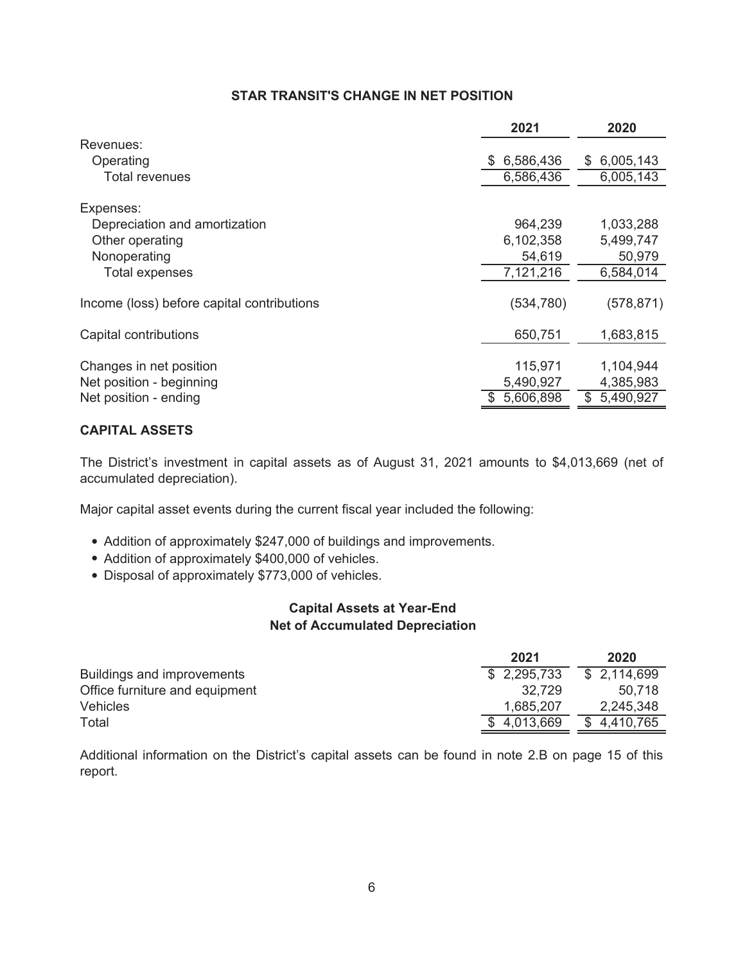### **STAR TRANSIT'S CHANGE IN NET POSITION**

|                                            | 2021       | 2020             |
|--------------------------------------------|------------|------------------|
| Revenues:                                  |            |                  |
| Operating                                  | 6,586,436  | 6,005,143<br>\$. |
| <b>Total revenues</b>                      | 6,586,436  | 6,005,143        |
| Expenses:                                  |            |                  |
| Depreciation and amortization              | 964,239    | 1,033,288        |
| Other operating                            | 6,102,358  | 5,499,747        |
| Nonoperating                               | 54,619     | 50,979           |
| <b>Total expenses</b>                      | 7,121,216  | 6,584,014        |
| Income (loss) before capital contributions | (534, 780) | (578, 871)       |
| Capital contributions                      | 650,751    | 1,683,815        |
| Changes in net position                    | 115,971    | 1,104,944        |
| Net position - beginning                   | 5,490,927  | 4,385,983        |
| Net position - ending                      | 5,606,898  | 5,490,927<br>\$  |

### **CAPITAL ASSETS**

The District's investment in capital assets as of August 31, 2021 amounts to \$4,013,669 (net of accumulated depreciation).

Major capital asset events during the current fiscal year included the following:

- Addition of approximately \$247,000 of buildings and improvements.
- Addition of approximately \$400,000 of vehicles.
- Disposal of approximately \$773,000 of vehicles.

### **Capital Assets at Year-End Net of Accumulated Depreciation**

|                                | 2021        | 2020        |
|--------------------------------|-------------|-------------|
| Buildings and improvements     | \$2,295,733 | \$2,114,699 |
| Office furniture and equipment | 32.729      | 50.718      |
| <b>Vehicles</b>                | 1,685,207   | 2,245,348   |
| Total                          | \$4,013,669 | \$4,410,765 |

Additional information on the District's capital assets can be found in note 2.B on page 15 of this report.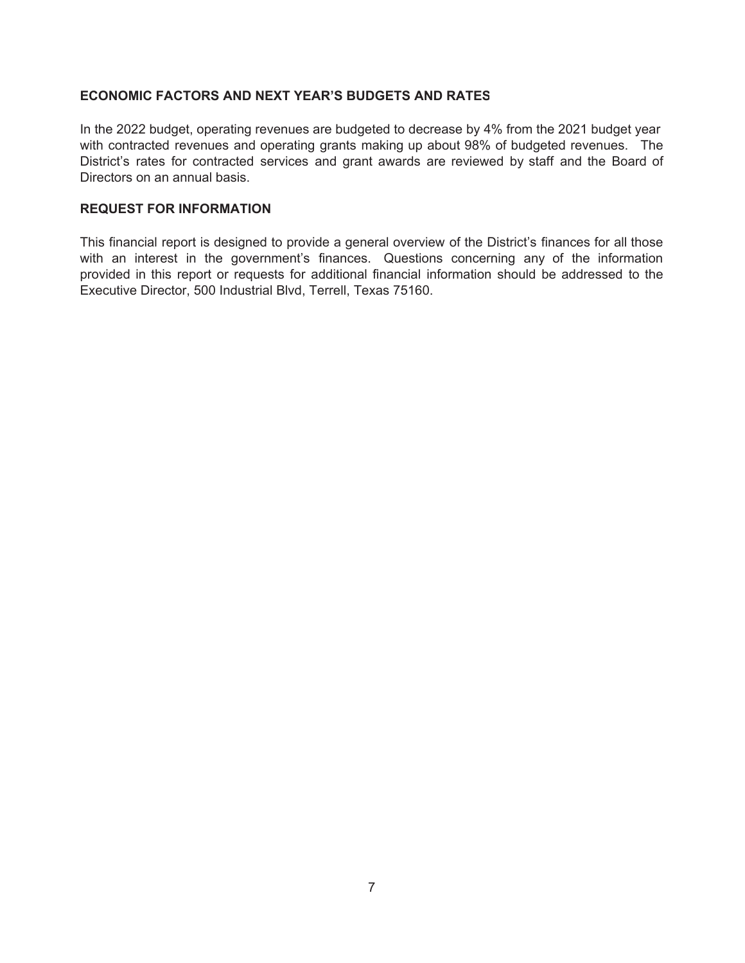### **ECONOMIC FACTORS AND NEXT YEAR'S BUDGETS AND RATES**

In the 2022 budget, operating revenues are budgeted to decrease by 4% from the 2021 budget year with contracted revenues and operating grants making up about 98% of budgeted revenues. The District's rates for contracted services and grant awards are reviewed by staff and the Board of Directors on an annual basis.

#### **REQUEST FOR INFORMATION**

This financial report is designed to provide a general overview of the District's finances for all those with an interest in the government's finances. Questions concerning any of the information provided in this report or requests for additional financial information should be addressed to the Executive Director, 500 Industrial Blvd, Terrell, Texas 75160.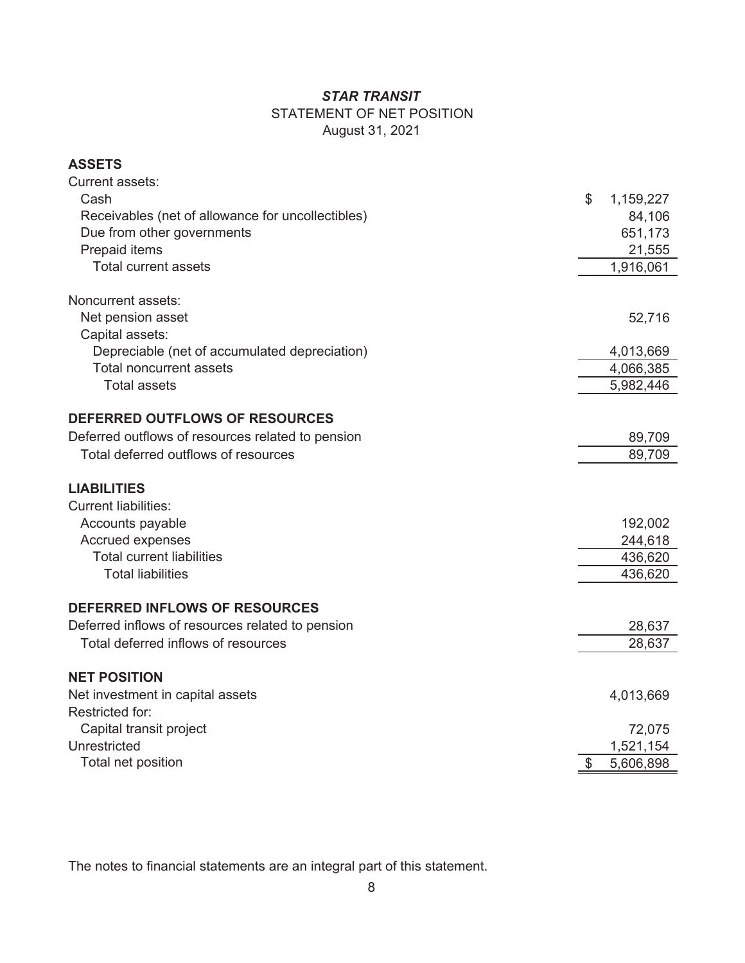# STATEMENT OF NET POSITION

August 31, 2021

### **ASSETS**

| <b>Current assets:</b>                            |                 |
|---------------------------------------------------|-----------------|
| Cash                                              | \$<br>1,159,227 |
| Receivables (net of allowance for uncollectibles) | 84,106          |
| Due from other governments                        | 651,173         |
| Prepaid items                                     | 21,555          |
| <b>Total current assets</b>                       | 1,916,061       |
| Noncurrent assets:                                |                 |
| Net pension asset                                 | 52,716          |
| Capital assets:                                   |                 |
| Depreciable (net of accumulated depreciation)     | 4,013,669       |
| <b>Total noncurrent assets</b>                    | 4,066,385       |
| <b>Total assets</b>                               | 5,982,446       |
| DEFERRED OUTFLOWS OF RESOURCES                    |                 |
| Deferred outflows of resources related to pension | 89,709          |
| Total deferred outflows of resources              | 89,709          |
|                                                   |                 |
| <b>LIABILITIES</b>                                |                 |
| <b>Current liabilities:</b>                       |                 |
| Accounts payable                                  | 192,002         |
| Accrued expenses                                  | 244,618         |
| <b>Total current liabilities</b>                  | 436,620         |
| <b>Total liabilities</b>                          | 436,620         |
| DEFERRED INFLOWS OF RESOURCES                     |                 |
| Deferred inflows of resources related to pension  | 28,637          |
| Total deferred inflows of resources               | 28,637          |
|                                                   |                 |
| <b>NET POSITION</b>                               |                 |
| Net investment in capital assets                  | 4,013,669       |
| Restricted for:                                   |                 |
| Capital transit project                           | 72,075          |
| Unrestricted                                      | 1,521,154       |
| Total net position                                | \$<br>5,606,898 |

The notes to financial statements are an integral part of this statement.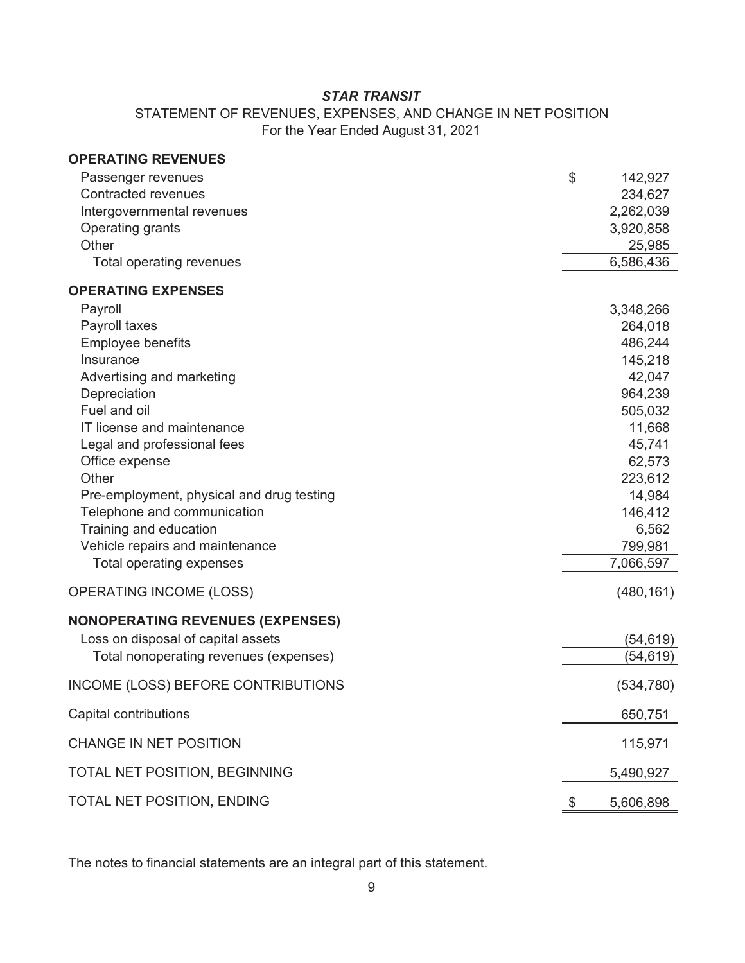STATEMENT OF REVENUES, EXPENSES, AND CHANGE IN NET POSITION For the Year Ended August 31, 2021

| <b>OPERATING REVENUES</b>                 |                 |
|-------------------------------------------|-----------------|
| Passenger revenues                        | \$<br>142,927   |
| <b>Contracted revenues</b>                | 234,627         |
| Intergovernmental revenues                | 2,262,039       |
| Operating grants                          | 3,920,858       |
| Other                                     | 25,985          |
| Total operating revenues                  | 6,586,436       |
| <b>OPERATING EXPENSES</b>                 |                 |
| Payroll                                   | 3,348,266       |
| Payroll taxes                             | 264,018         |
| <b>Employee benefits</b>                  | 486,244         |
| Insurance                                 | 145,218         |
| Advertising and marketing                 | 42,047          |
| Depreciation                              | 964,239         |
| Fuel and oil                              | 505,032         |
| IT license and maintenance                | 11,668          |
| Legal and professional fees               | 45,741          |
| Office expense                            | 62,573          |
| Other                                     | 223,612         |
| Pre-employment, physical and drug testing | 14,984          |
| Telephone and communication               | 146,412         |
| Training and education                    | 6,562           |
| Vehicle repairs and maintenance           | 799,981         |
| Total operating expenses                  | 7,066,597       |
| <b>OPERATING INCOME (LOSS)</b>            | (480, 161)      |
| <b>NONOPERATING REVENUES (EXPENSES)</b>   |                 |
| Loss on disposal of capital assets        | (54, 619)       |
| Total nonoperating revenues (expenses)    | (54,619)        |
| INCOME (LOSS) BEFORE CONTRIBUTIONS        | (534, 780)      |
| Capital contributions                     | 650,751         |
| <b>CHANGE IN NET POSITION</b>             | 115,971         |
| TOTAL NET POSITION, BEGINNING             | 5,490,927       |
| TOTAL NET POSITION, ENDING                | \$<br>5,606,898 |

The notes to financial statements are an integral part of this statement.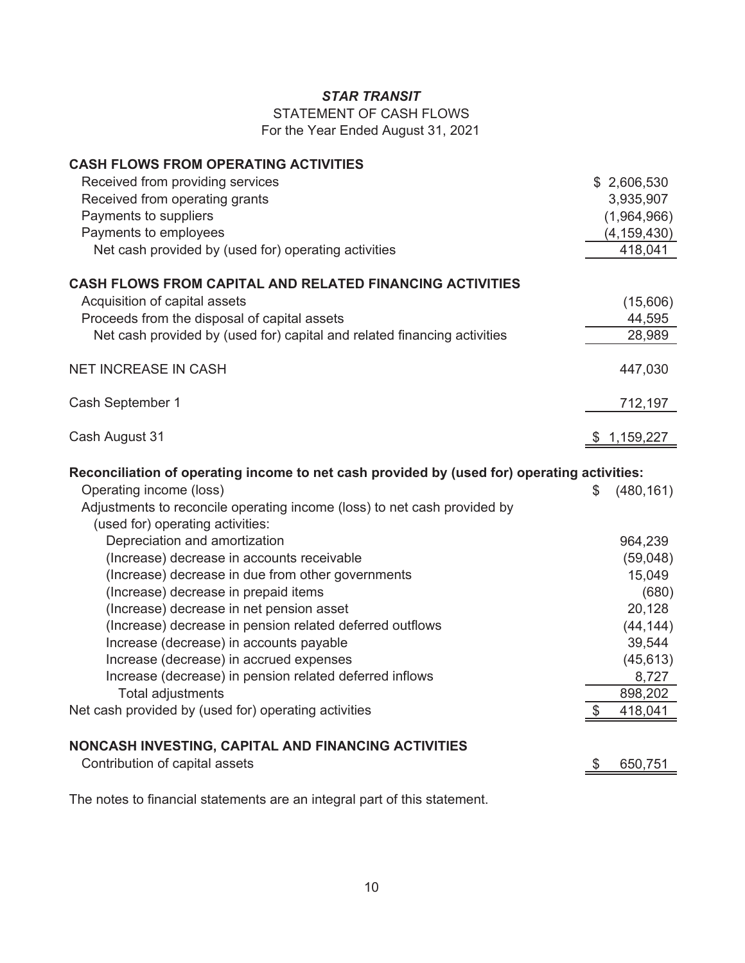STATEMENT OF CASH FLOWS

For the Year Ended August 31, 2021

| <b>CASH FLOWS FROM OPERATING ACTIVITIES</b>                                                 |    |                    |
|---------------------------------------------------------------------------------------------|----|--------------------|
| Received from providing services                                                            |    | \$2,606,530        |
| Received from operating grants                                                              |    | 3,935,907          |
| Payments to suppliers                                                                       |    | (1,964,966)        |
| Payments to employees                                                                       |    | (4, 159, 430)      |
| Net cash provided by (used for) operating activities                                        |    | 418,041            |
|                                                                                             |    |                    |
| <b>CASH FLOWS FROM CAPITAL AND RELATED FINANCING ACTIVITIES</b>                             |    |                    |
| Acquisition of capital assets                                                               |    | (15,606)           |
| Proceeds from the disposal of capital assets                                                |    | 44,595             |
| Net cash provided by (used for) capital and related financing activities                    |    | 28,989             |
| <b>NET INCREASE IN CASH</b>                                                                 |    | 447,030            |
| Cash September 1                                                                            |    | 712,197            |
|                                                                                             |    |                    |
| Cash August 31                                                                              | \$ | 1,159,227          |
| Reconciliation of operating income to net cash provided by (used for) operating activities: |    |                    |
| Operating income (loss)                                                                     | S  | (480, 161)         |
| Adjustments to reconcile operating income (loss) to net cash provided by                    |    |                    |
|                                                                                             |    |                    |
|                                                                                             |    |                    |
| (used for) operating activities:                                                            |    |                    |
| Depreciation and amortization                                                               |    | 964,239            |
| (Increase) decrease in accounts receivable                                                  |    | (59,048)           |
| (Increase) decrease in due from other governments                                           |    | 15,049             |
| (Increase) decrease in prepaid items                                                        |    | (680)              |
| (Increase) decrease in net pension asset                                                    |    | 20,128             |
| (Increase) decrease in pension related deferred outflows                                    |    | (44, 144)          |
| Increase (decrease) in accounts payable                                                     |    | 39,544             |
| Increase (decrease) in accrued expenses                                                     |    | (45, 613)          |
| Increase (decrease) in pension related deferred inflows                                     |    | 8,727              |
| Total adjustments<br>Net cash provided by (used for) operating activities                   | \$ | 898,202<br>418,041 |
|                                                                                             |    |                    |
| NONCASH INVESTING, CAPITAL AND FINANCING ACTIVITIES<br>Contribution of capital assets       | \$ | 650,751            |

The notes to financial statements are an integral part of this statement.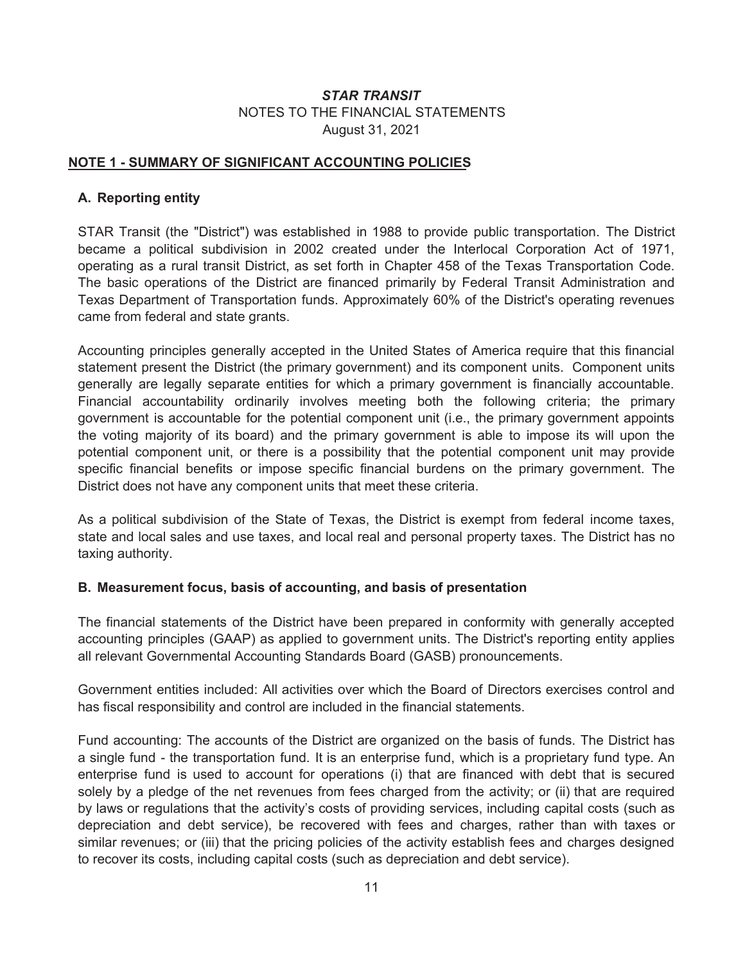### **NOTE 1 - SUMMARY OF SIGNIFICANT ACCOUNTING POLICIES**

### **A. Reporting entity**

STAR Transit (the "District") was established in 1988 to provide public transportation. The District became a political subdivision in 2002 created under the Interlocal Corporation Act of 1971, operating as a rural transit District, as set forth in Chapter 458 of the Texas Transportation Code. The basic operations of the District are financed primarily by Federal Transit Administration and Texas Department of Transportation funds. Approximately 60% of the District's operating revenues came from federal and state grants.

Accounting principles generally accepted in the United States of America require that this financial statement present the District (the primary government) and its component units. Component units generally are legally separate entities for which a primary government is financially accountable. Financial accountability ordinarily involves meeting both the following criteria; the primary government is accountable for the potential component unit (i.e., the primary government appoints the voting majority of its board) and the primary government is able to impose its will upon the potential component unit, or there is a possibility that the potential component unit may provide specific financial benefits or impose specific financial burdens on the primary government. The District does not have any component units that meet these criteria.

As a political subdivision of the State of Texas, the District is exempt from federal income taxes, state and local sales and use taxes, and local real and personal property taxes. The District has no taxing authority.

#### **B. Measurement focus, basis of accounting, and basis of presentation**

The financial statements of the District have been prepared in conformity with generally accepted accounting principles (GAAP) as applied to government units. The District's reporting entity applies all relevant Governmental Accounting Standards Board (GASB) pronouncements.

Government entities included: All activities over which the Board of Directors exercises control and has fiscal responsibility and control are included in the financial statements.

Fund accounting: The accounts of the District are organized on the basis of funds. The District has a single fund - the transportation fund. It is an enterprise fund, which is a proprietary fund type. An enterprise fund is used to account for operations (i) that are financed with debt that is secured solely by a pledge of the net revenues from fees charged from the activity; or (ii) that are required by laws or regulations that the activity's costs of providing services, including capital costs (such as depreciation and debt service), be recovered with fees and charges, rather than with taxes or similar revenues; or (iii) that the pricing policies of the activity establish fees and charges designed to recover its costs, including capital costs (such as depreciation and debt service).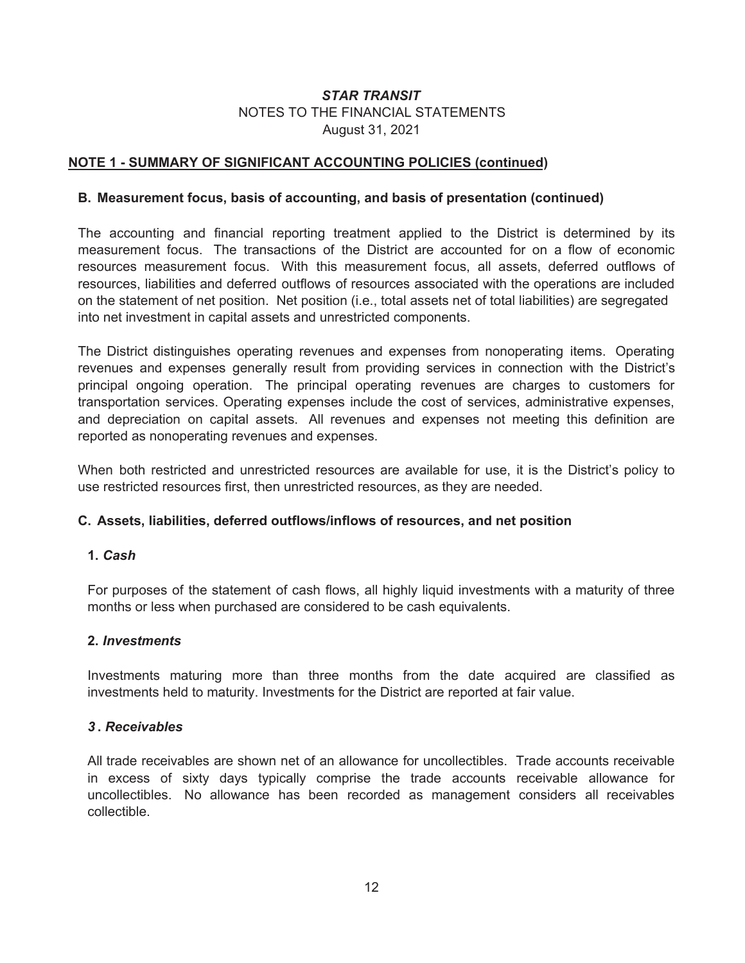### **NOTE 1 - SUMMARY OF SIGNIFICANT ACCOUNTING POLICIES (continued)**

#### **B. Measurement focus, basis of accounting, and basis of presentation (continued)**

The accounting and financial reporting treatment applied to the District is determined by its measurement focus. The transactions of the District are accounted for on a flow of economic resources measurement focus. With this measurement focus, all assets, deferred outflows of resources, liabilities and deferred outflows of resources associated with the operations are included on the statement of net position. Net position (i.e., total assets net of total liabilities) are segregated into net investment in capital assets and unrestricted components.

The District distinguishes operating revenues and expenses from nonoperating items. Operating revenues and expenses generally result from providing services in connection with the District's principal ongoing operation. The principal operating revenues are charges to customers for transportation services. Operating expenses include the cost of services, administrative expenses, and depreciation on capital assets. All revenues and expenses not meeting this definition are reported as nonoperating revenues and expenses.

When both restricted and unrestricted resources are available for use, it is the District's policy to use restricted resources first, then unrestricted resources, as they are needed.

#### **C. Assets, liabilities, deferred outflows/inflows of resources, and net position**

### **1.** *Cash*

For purposes of the statement of cash flows, all highly liquid investments with a maturity of three months or less when purchased are considered to be cash equivalents.

### **2.** *Investments*

Investments maturing more than three months from the date acquired are classified as investments held to maturity. Investments for the District are reported at fair value.

#### *3* **.** *Receivables*

All trade receivables are shown net of an allowance for uncollectibles. Trade accounts receivable in excess of sixty days typically comprise the trade accounts receivable allowance for uncollectibles. No allowance has been recorded as management considers all receivables collectible.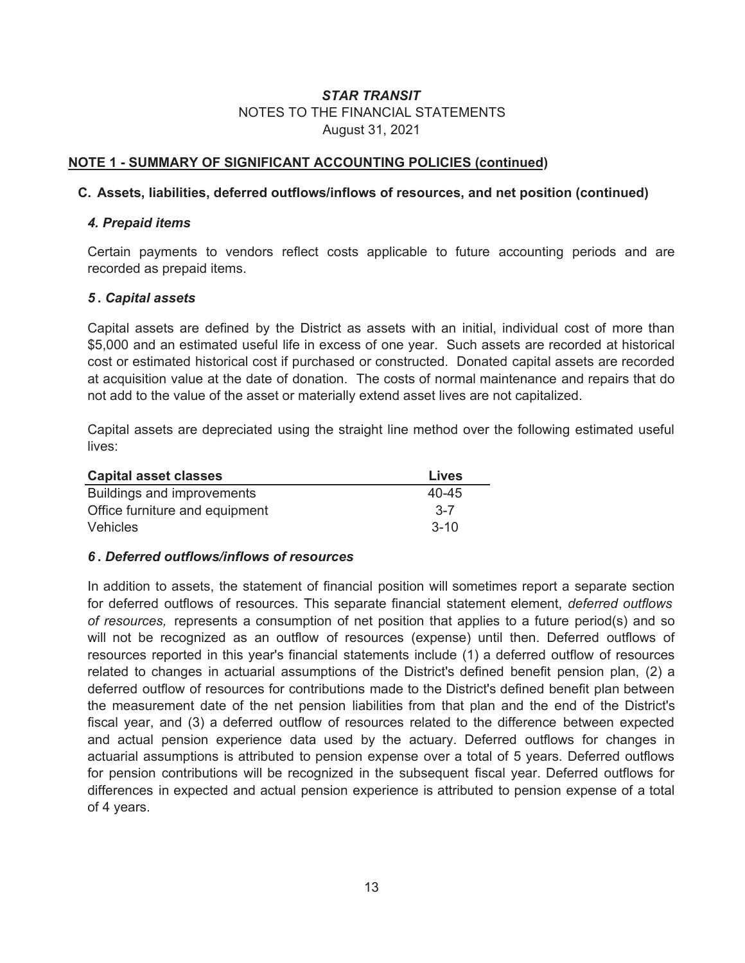### **NOTE 1 - SUMMARY OF SIGNIFICANT ACCOUNTING POLICIES (continued)**

#### **C. Assets, liabilities, deferred outflows/inflows of resources, and net position (continued)**

#### *4. Prepaid items*

Certain payments to vendors reflect costs applicable to future accounting periods and are recorded as prepaid items.

#### *5* **.** *Capital assets*

Capital assets are defined by the District as assets with an initial, individual cost of more than \$5,000 and an estimated useful life in excess of one year. Such assets are recorded at historical cost or estimated historical cost if purchased or constructed. Donated capital assets are recorded at acquisition value at the date of donation. The costs of normal maintenance and repairs that do not add to the value of the asset or materially extend asset lives are not capitalized.

Capital assets are depreciated using the straight line method over the following estimated useful lives:

| <b>Capital asset classes</b>   | Lives     |
|--------------------------------|-----------|
| Buildings and improvements     | $40 - 45$ |
| Office furniture and equipment | $3 - 7$   |
| <b>Vehicles</b>                | $3 - 10$  |

#### *6* **.** *Deferred outflows/inflows of resources*

In addition to assets, the statement of financial position will sometimes report a separate section for deferred outflows of resources. This separate financial statement element, *deferred outflows of resources,* represents a consumption of net position that applies to a future period(s) and so will not be recognized as an outflow of resources (expense) until then. Deferred outflows of resources reported in this year's financial statements include (1) a deferred outflow of resources related to changes in actuarial assumptions of the District's defined benefit pension plan, (2) a deferred outflow of resources for contributions made to the District's defined benefit plan between the measurement date of the net pension liabilities from that plan and the end of the District's fiscal year, and (3) a deferred outflow of resources related to the difference between expected and actual pension experience data used by the actuary. Deferred outflows for changes in actuarial assumptions is attributed to pension expense over a total of 5 years. Deferred outflows for pension contributions will be recognized in the subsequent fiscal year. Deferred outflows for differences in expected and actual pension experience is attributed to pension expense of a total of 4 years.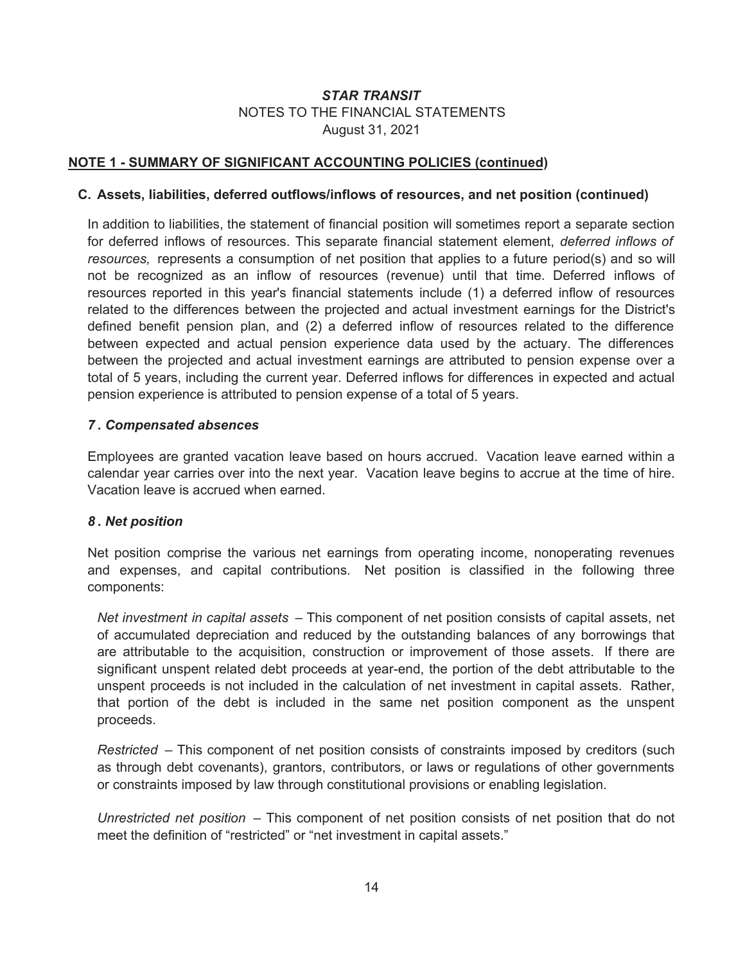### **NOTE 1 - SUMMARY OF SIGNIFICANT ACCOUNTING POLICIES (continued)**

#### **C. Assets, liabilities, deferred outflows/inflows of resources, and net position (continued)**

In addition to liabilities, the statement of financial position will sometimes report a separate section for deferred inflows of resources. This separate financial statement element, *deferred inflows of resources,* represents a consumption of net position that applies to a future period(s) and so will not be recognized as an inflow of resources (revenue) until that time. Deferred inflows of resources reported in this year's financial statements include (1) a deferred inflow of resources related to the differences between the projected and actual investment earnings for the District's defined benefit pension plan, and (2) a deferred inflow of resources related to the difference between expected and actual pension experience data used by the actuary. The differences between the projected and actual investment earnings are attributed to pension expense over a total of 5 years, including the current year. Deferred inflows for differences in expected and actual pension experience is attributed to pension expense of a total of 5 years.

#### *7* **.** *Compensated absences*

Employees are granted vacation leave based on hours accrued. Vacation leave earned within a calendar year carries over into the next year. Vacation leave begins to accrue at the time of hire. Vacation leave is accrued when earned.

#### *8* **.** *Net position*

Net position comprise the various net earnings from operating income, nonoperating revenues and expenses, and capital contributions. Net position is classified in the following three components:

*Net investment in capital assets* – This component of net position consists of capital assets, net of accumulated depreciation and reduced by the outstanding balances of any borrowings that are attributable to the acquisition, construction or improvement of those assets. If there are significant unspent related debt proceeds at year-end, the portion of the debt attributable to the unspent proceeds is not included in the calculation of net investment in capital assets. Rather, that portion of the debt is included in the same net position component as the unspent proceeds.

*Restricted* – This component of net position consists of constraints imposed by creditors (such as through debt covenants), grantors, contributors, or laws or regulations of other governments or constraints imposed by law through constitutional provisions or enabling legislation.

*Unrestricted net position* – This component of net position consists of net position that do not meet the definition of "restricted" or "net investment in capital assets."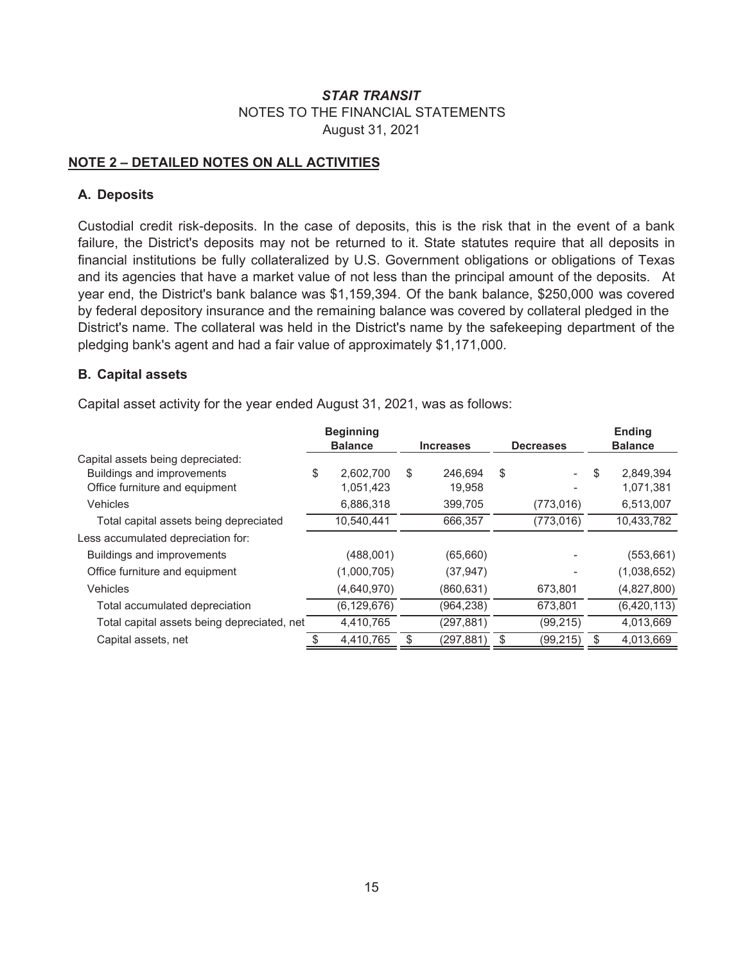### **NOTE 2 – DETAILED NOTES ON ALL ACTIVITIES**

### **A. Deposits**

Custodial credit risk-deposits. In the case of deposits, this is the risk that in the event of a bank failure, the District's deposits may not be returned to it. State statutes require that all deposits in financial institutions be fully collateralized by U.S. Government obligations or obligations of Texas and its agencies that have a market value of not less than the principal amount of the deposits. At year end, the District's bank balance was \$1,159,394. Of the bank balance, \$250,000 was covered by federal depository insurance and the remaining balance was covered by collateral pledged in the District's name. The collateral was held in the District's name by the safekeeping department of the pledging bank's agent and had a fair value of approximately \$1,171,000.

### **B. Capital assets**

Capital asset activity for the year ended August 31, 2021, was as follows:

|                                             | <b>Beginning</b><br><b>Balance</b> |               | <b>Increases</b> |            | <b>Decreases</b> |            | <b>Ending</b><br><b>Balance</b> |               |
|---------------------------------------------|------------------------------------|---------------|------------------|------------|------------------|------------|---------------------------------|---------------|
| Capital assets being depreciated:           |                                    |               |                  |            |                  |            |                                 |               |
| Buildings and improvements                  | \$                                 | 2.602.700     | \$               | 246.694    | \$               |            | \$                              | 2.849.394     |
| Office furniture and equipment              |                                    | 1,051,423     |                  | 19,958     |                  |            |                                 | 1,071,381     |
| <b>Vehicles</b>                             |                                    | 6,886,318     |                  | 399,705    |                  | (773, 016) |                                 | 6,513,007     |
| Total capital assets being depreciated      |                                    | 10,540,441    |                  | 666,357    |                  | (773, 016) |                                 | 10,433,782    |
| Less accumulated depreciation for:          |                                    |               |                  |            |                  |            |                                 |               |
| Buildings and improvements                  |                                    | (488,001)     |                  | (65, 660)  |                  |            |                                 | (553, 661)    |
| Office furniture and equipment              |                                    | (1,000,705)   |                  | (37, 947)  |                  |            |                                 | (1,038,652)   |
| Vehicles                                    |                                    | (4,640,970)   |                  | (860, 631) |                  | 673,801    |                                 | (4,827,800)   |
| Total accumulated depreciation              |                                    | (6, 129, 676) |                  | (964, 238) |                  | 673,801    |                                 | (6, 420, 113) |
| Total capital assets being depreciated, net |                                    | 4,410,765     |                  | (297, 881) |                  | (99, 215)  |                                 | 4,013,669     |
| Capital assets, net                         |                                    | 4,410,765     |                  | (297,881)  |                  | (99,215)   |                                 | 4,013,669     |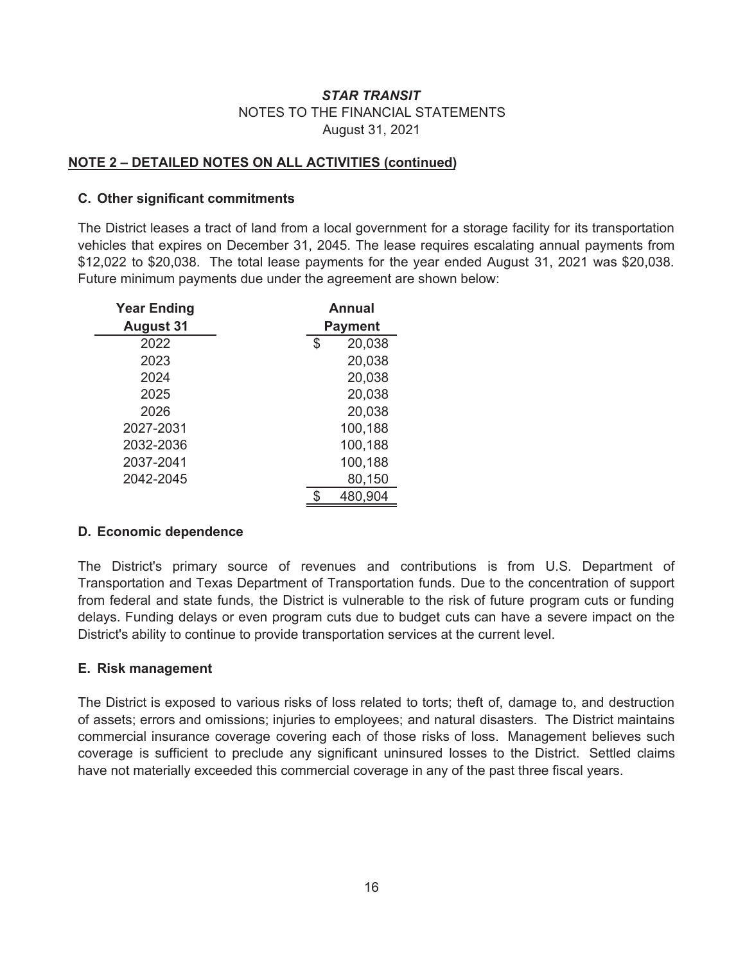### **NOTE 2 – DETAILED NOTES ON ALL ACTIVITIES (continued)**

#### **C. Other significant commitments**

The District leases a tract of land from a local government for a storage facility for its transportation vehicles that expires on December 31, 2045. The lease requires escalating annual payments from \$12,022 to \$20,038. The total lease payments for the year ended August 31, 2021 was \$20,038. Future minimum payments due under the agreement are shown below:

| <b>Year Ending</b> | Annual         |
|--------------------|----------------|
| <b>August 31</b>   | <b>Payment</b> |
| 2022               | 20,038<br>\$   |
| 2023               | 20,038         |
| 2024               | 20,038         |
| 2025               | 20,038         |
| 2026               | 20,038         |
| 2027-2031          | 100,188        |
| 2032-2036          | 100,188        |
| 2037-2041          | 100,188        |
| 2042-2045          | 80,150         |
|                    | 480,904<br>S   |

### **D. Economic dependence**

The District's primary source of revenues and contributions is from U.S. Department of Transportation and Texas Department of Transportation funds. Due to the concentration of support from federal and state funds, the District is vulnerable to the risk of future program cuts or funding delays. Funding delays or even program cuts due to budget cuts can have a severe impact on the District's ability to continue to provide transportation services at the current level.

#### **E. Risk management**

The District is exposed to various risks of loss related to torts; theft of, damage to, and destruction of assets; errors and omissions; injuries to employees; and natural disasters. The District maintains commercial insurance coverage covering each of those risks of loss. Management believes such coverage is sufficient to preclude any significant uninsured losses to the District. Settled claims have not materially exceeded this commercial coverage in any of the past three fiscal years.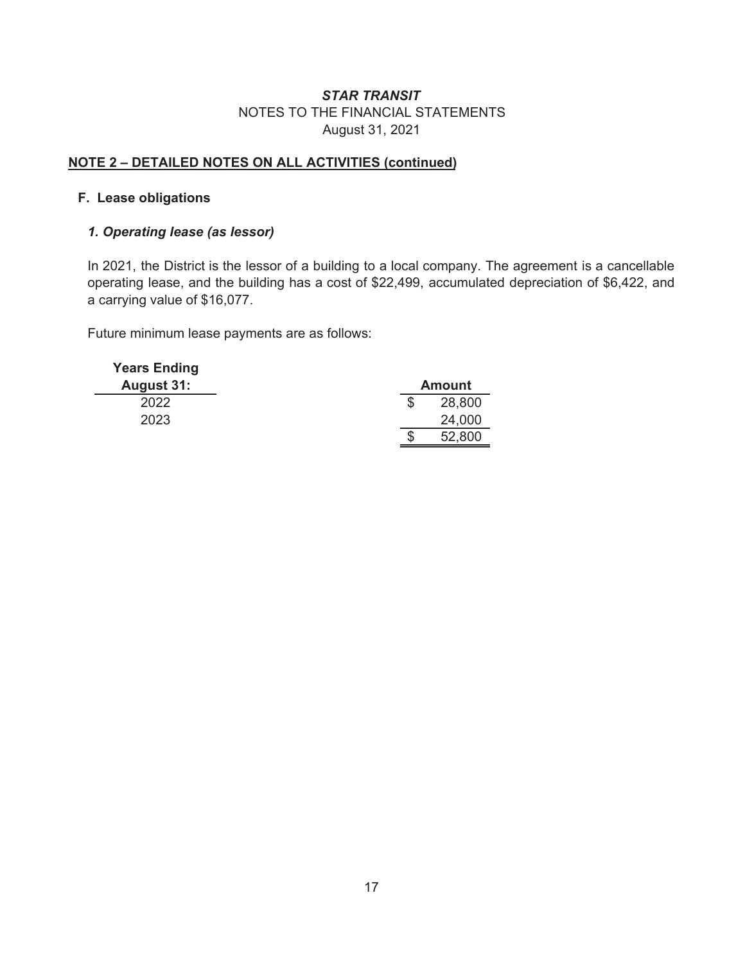# **NOTE 2 – DETAILED NOTES ON ALL ACTIVITIES (continued)**

### **F. Lease obligations**

### *1. Operating lease (as lessor)*

In 2021, the District is the lessor of a building to a local company. The agreement is a cancellable operating lease, and the building has a cost of \$22,499, accumulated depreciation of \$6,422, and a carrying value of \$16,077.

Future minimum lease payments are as follows:

| <b>Years Ending</b> |   |               |
|---------------------|---|---------------|
| <b>August 31:</b>   |   | <b>Amount</b> |
| 2022                | S | 28,800        |
| 2023                |   | 24,000        |
|                     | S | 52,800        |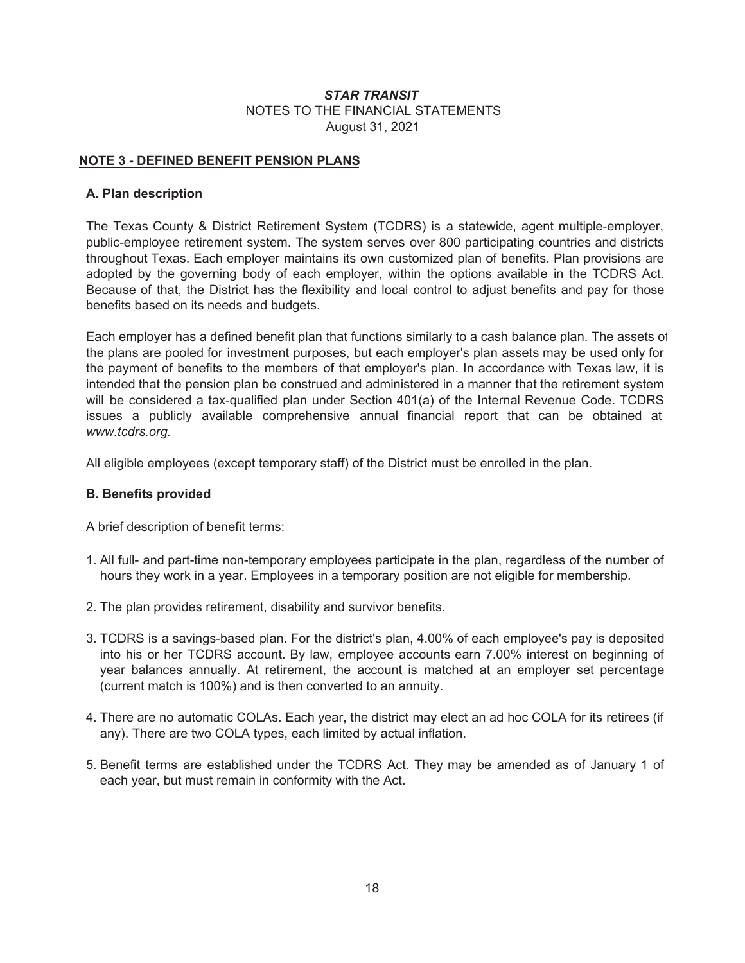#### **NOTE 3 - DEFINED BENEFIT PENSION PLANS**

#### **A. Plan description**

The Texas County & District Retirement System (TCDRS) is a statewide, agent multiple-employer, public-employee retirement system. The system serves over 800 participating countries and districts throughout Texas. Each employer maintains its own customized plan of benefits. Plan provisions are adopted by the governing body of each employer, within the options available in the TCDRS Act. Because of that, the District has the flexibility and local control to adjust benefits and pay for those benefits based on its needs and budgets.

Each employer has a defined benefit plan that functions similarly to a cash balance plan. The assets of the plans are pooled for investment purposes, but each employer's plan assets may be used only for the payment of benefits to the members of that employer's plan. In accordance with Texas law, it is intended that the pension plan be construed and administered in a manner that the retirement system will be considered a tax-qualified plan under Section 401(a) of the Internal Revenue Code. TCDRS issues a publicly available comprehensive annual financial report that can be obtained at *www.tcdrs.org.*

All eligible employees (except temporary staff) of the District must be enrolled in the plan.

#### **B. Benefits provided**

A brief description of benefit terms:

- 1. All full- and part-time non-temporary employees participate in the plan, regardless of the number of hours they work in a year. Employees in a temporary position are not eligible for membership.
- 2. The plan provides retirement, disability and survivor benefits.
- 3. TCDRS is a savings-based plan. For the district's plan, 4.00% of each employee's pay is deposited into his or her TCDRS account. By law, employee accounts earn 7.00% interest on beginning of year balances annually. At retirement, the account is matched at an employer set percentage (current match is 100%) and is then converted to an annuity.
- 4. There are no automatic COLAs. Each year, the district may elect an ad hoc COLA for its retirees (if any). There are two COLA types, each limited by actual inflation.
- 5. Benefit terms are established under the TCDRS Act. They may be amended as of January 1 of each year, but must remain in conformity with the Act.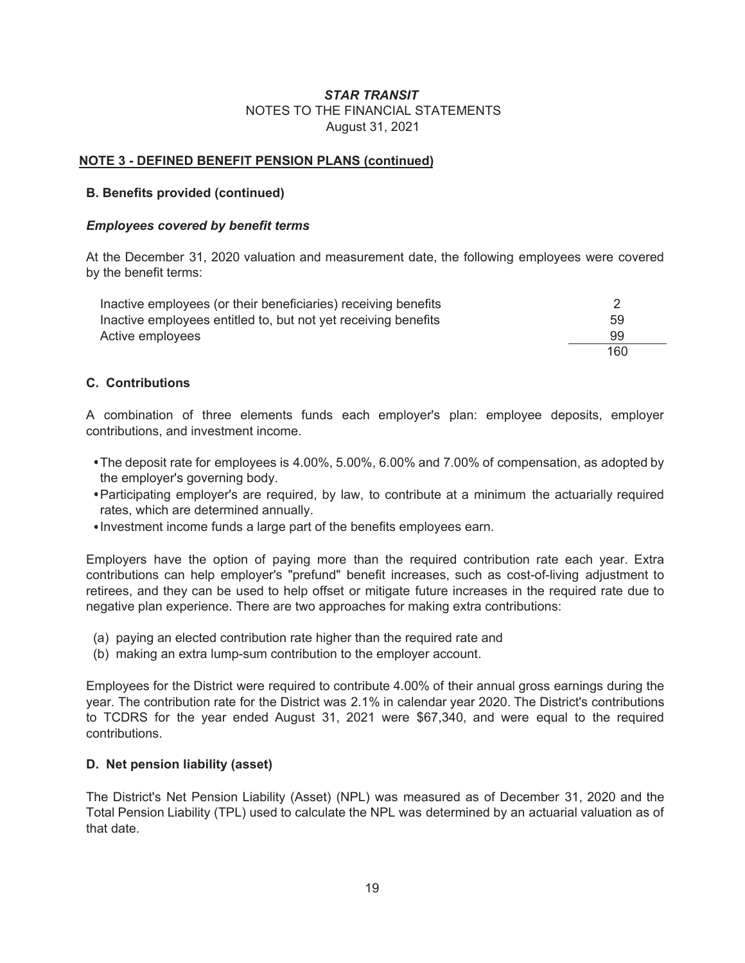#### **NOTE 3 - DEFINED BENEFIT PENSION PLANS (continued)**

#### **B. Benefits provided (continued)**

#### *Employees covered by benefit terms*

At the December 31, 2020 valuation and measurement date, the following employees were covered by the benefit terms:

| Inactive employees (or their beneficiaries) receiving benefits |     |
|----------------------------------------------------------------|-----|
| Inactive employees entitled to, but not yet receiving benefits | 59  |
| Active employees                                               | 99  |
|                                                                | 160 |

#### **C. Contributions**

A combination of three elements funds each employer's plan: employee deposits, employer contributions, and investment income.

- The deposit rate for employees is 4.00%, 5.00%, 6.00% and 7.00% of compensation, as adopted by the employer's governing body.
- Participating employer's are required, by law, to contribute at a minimum the actuarially required rates, which are determined annually.
- Investment income funds a large part of the benefits employees earn.

Employers have the option of paying more than the required contribution rate each year. Extra contributions can help employer's "prefund" benefit increases, such as cost-of-living adjustment to retirees, and they can be used to help offset or mitigate future increases in the required rate due to negative plan experience. There are two approaches for making extra contributions:

- (a) paying an elected contribution rate higher than the required rate and
- (b) making an extra lump-sum contribution to the employer account.

Employees for the District were required to contribute 4.00% of their annual gross earnings during the year. The contribution rate for the District was 2.1% in calendar year 2020. The District's contributions to TCDRS for the year ended August 31, 2021 were \$67,340, and were equal to the required contributions.

#### **D. Net pension liability (asset)**

The District's Net Pension Liability (Asset) (NPL) was measured as of December 31, 2020 and the Total Pension Liability (TPL) used to calculate the NPL was determined by an actuarial valuation as of that date.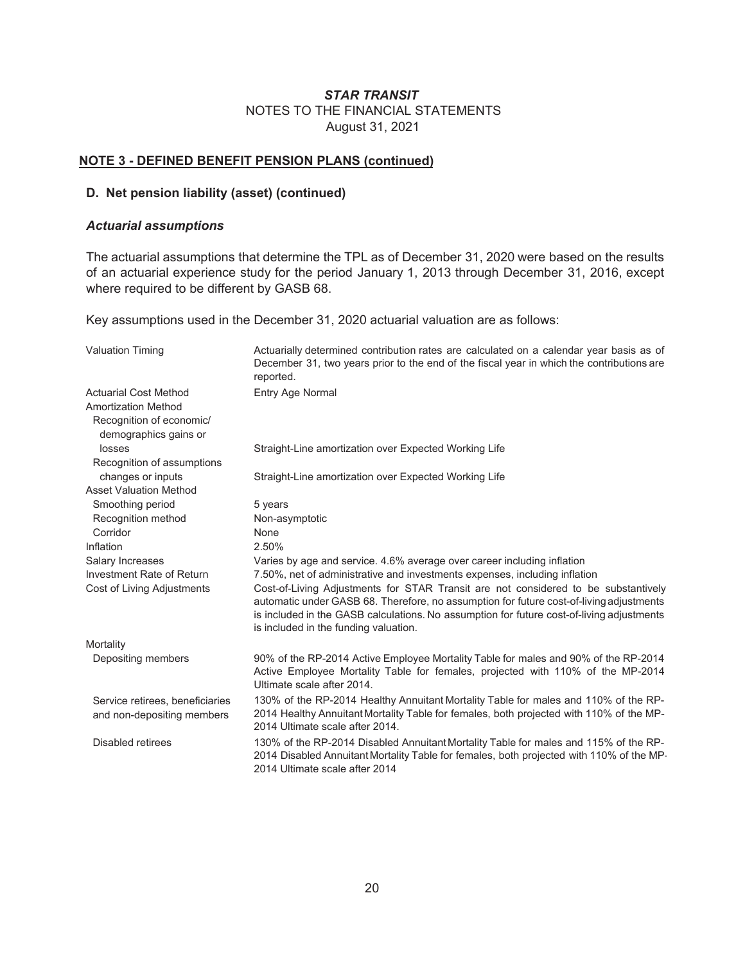#### **NOTE 3 - DEFINED BENEFIT PENSION PLANS (continued)**

#### **D. Net pension liability (asset) (continued)**

#### *Actuarial assumptions*

The actuarial assumptions that determine the TPL as of December 31, 2020 were based on the results of an actuarial experience study for the period January 1, 2013 through December 31, 2016, except where required to be different by GASB 68.

Key assumptions used in the December 31, 2020 actuarial valuation are as follows:

| <b>Valuation Timing</b>           | Actuarially determined contribution rates are calculated on a calendar year basis as of<br>December 31, two years prior to the end of the fiscal year in which the contributions are<br>reported.                                                                                                                   |
|-----------------------------------|---------------------------------------------------------------------------------------------------------------------------------------------------------------------------------------------------------------------------------------------------------------------------------------------------------------------|
| <b>Actuarial Cost Method</b>      | Entry Age Normal                                                                                                                                                                                                                                                                                                    |
| <b>Amortization Method</b>        |                                                                                                                                                                                                                                                                                                                     |
| Recognition of economic/          |                                                                                                                                                                                                                                                                                                                     |
| demographics gains or             |                                                                                                                                                                                                                                                                                                                     |
| losses                            | Straight-Line amortization over Expected Working Life                                                                                                                                                                                                                                                               |
| Recognition of assumptions        |                                                                                                                                                                                                                                                                                                                     |
| changes or inputs                 | Straight-Line amortization over Expected Working Life                                                                                                                                                                                                                                                               |
| <b>Asset Valuation Method</b>     |                                                                                                                                                                                                                                                                                                                     |
| Smoothing period                  | 5 years                                                                                                                                                                                                                                                                                                             |
| Recognition method                | Non-asymptotic                                                                                                                                                                                                                                                                                                      |
| Corridor                          | None                                                                                                                                                                                                                                                                                                                |
| Inflation                         | 2.50%                                                                                                                                                                                                                                                                                                               |
| Salary Increases                  | Varies by age and service. 4.6% average over career including inflation                                                                                                                                                                                                                                             |
| Investment Rate of Return         | 7.50%, net of administrative and investments expenses, including inflation                                                                                                                                                                                                                                          |
| <b>Cost of Living Adjustments</b> | Cost-of-Living Adjustments for STAR Transit are not considered to be substantively<br>automatic under GASB 68. Therefore, no assumption for future cost-of-living adjustments<br>is included in the GASB calculations. No assumption for future cost-of-living adjustments<br>is included in the funding valuation. |
| Mortality                         |                                                                                                                                                                                                                                                                                                                     |
| Depositing members                | 90% of the RP-2014 Active Employee Mortality Table for males and 90% of the RP-2014<br>Active Employee Mortality Table for females, projected with 110% of the MP-2014<br>Ultimate scale after 2014.                                                                                                                |
| Service retirees, beneficiaries   | 130% of the RP-2014 Healthy Annuitant Mortality Table for males and 110% of the RP-                                                                                                                                                                                                                                 |
| and non-depositing members        | 2014 Healthy Annuitant Mortality Table for females, both projected with 110% of the MP-<br>2014 Ultimate scale after 2014.                                                                                                                                                                                          |
| Disabled retirees                 | 130% of the RP-2014 Disabled Annuitant Mortality Table for males and 115% of the RP-<br>2014 Disabled Annuitant Mortality Table for females, both projected with 110% of the MP-<br>2014 Ultimate scale after 2014                                                                                                  |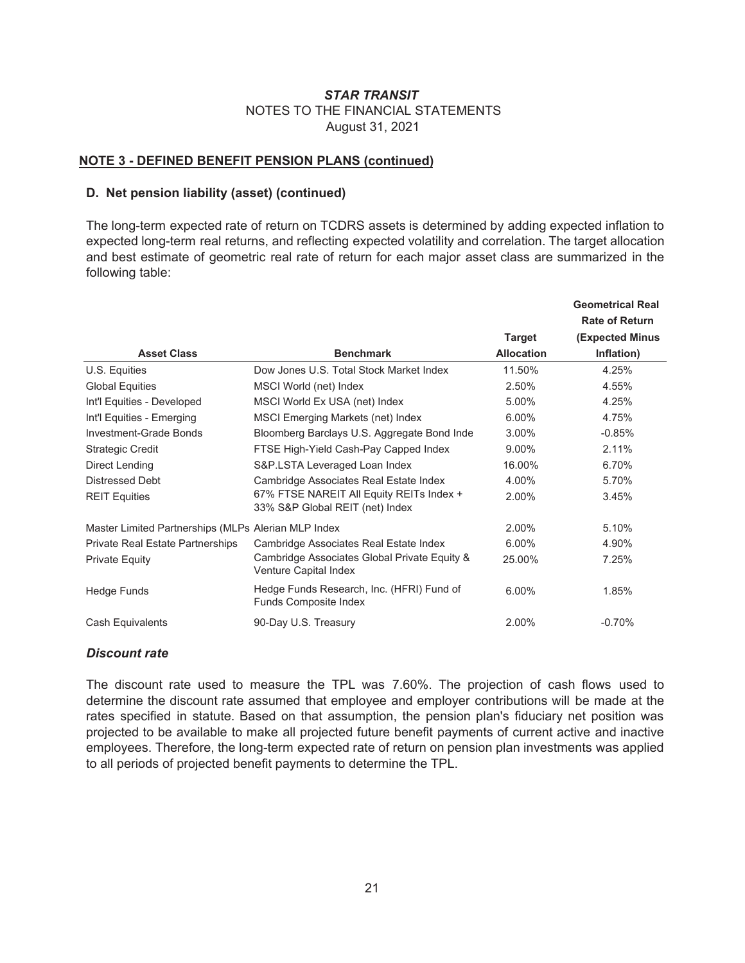#### **NOTE 3 - DEFINED BENEFIT PENSION PLANS (continued)**

#### **D. Net pension liability (asset) (continued)**

The long-term expected rate of return on TCDRS assets is determined by adding expected inflation to expected long-term real returns, and reflecting expected volatility and correlation. The target allocation and best estimate of geometric real rate of return for each major asset class are summarized in the following table:

|                                                     |                                                                             |                   | <b>Geometrical Real</b> |
|-----------------------------------------------------|-----------------------------------------------------------------------------|-------------------|-------------------------|
|                                                     |                                                                             |                   | <b>Rate of Return</b>   |
|                                                     |                                                                             | <b>Target</b>     | <b>(Expected Minus</b>  |
| <b>Asset Class</b>                                  | <b>Benchmark</b>                                                            | <b>Allocation</b> | Inflation)              |
| U.S. Equities                                       | Dow Jones U.S. Total Stock Market Index                                     | 11.50%            | 4.25%                   |
| <b>Global Equities</b>                              | MSCI World (net) Index                                                      | 2.50%             | 4.55%                   |
| Int'l Equities - Developed                          | MSCI World Ex USA (net) Index                                               | 5.00%             | 4.25%                   |
| Int'l Equities - Emerging                           | MSCI Emerging Markets (net) Index                                           | 6.00%             | 4.75%                   |
| Investment-Grade Bonds                              | Bloomberg Barclays U.S. Aggregate Bond Inde                                 | $3.00\%$          | $-0.85%$                |
| <b>Strategic Credit</b>                             | FTSE High-Yield Cash-Pay Capped Index                                       | 9.00%             | 2.11%                   |
| Direct Lending                                      | S&P.LSTA Leveraged Loan Index                                               | 16.00%            | 6.70%                   |
| <b>Distressed Debt</b>                              | Cambridge Associates Real Estate Index                                      | 4.00%             | 5.70%                   |
| <b>REIT Equities</b>                                | 67% FTSE NAREIT All Equity REITs Index +<br>33% S&P Global REIT (net) Index | 2.00%             | 3.45%                   |
| Master Limited Partnerships (MLPs Alerian MLP Index |                                                                             | 2.00%             | 5.10%                   |
| <b>Private Real Estate Partnerships</b>             | Cambridge Associates Real Estate Index                                      | 6.00%             | 4.90%                   |
| <b>Private Equity</b>                               | Cambridge Associates Global Private Equity &<br>Venture Capital Index       | 25.00%            | 7.25%                   |
| <b>Hedge Funds</b>                                  | Hedge Funds Research, Inc. (HFRI) Fund of<br><b>Funds Composite Index</b>   | 6.00%             | 1.85%                   |
| Cash Equivalents                                    | 90-Day U.S. Treasury                                                        | 2.00%             | $-0.70%$                |

#### *Discount rate*

The discount rate used to measure the TPL was 7.60%. The projection of cash flows used to determine the discount rate assumed that employee and employer contributions will be made at the rates specified in statute. Based on that assumption, the pension plan's fiduciary net position was projected to be available to make all projected future benefit payments of current active and inactive employees. Therefore, the long-term expected rate of return on pension plan investments was applied to all periods of projected benefit payments to determine the TPL.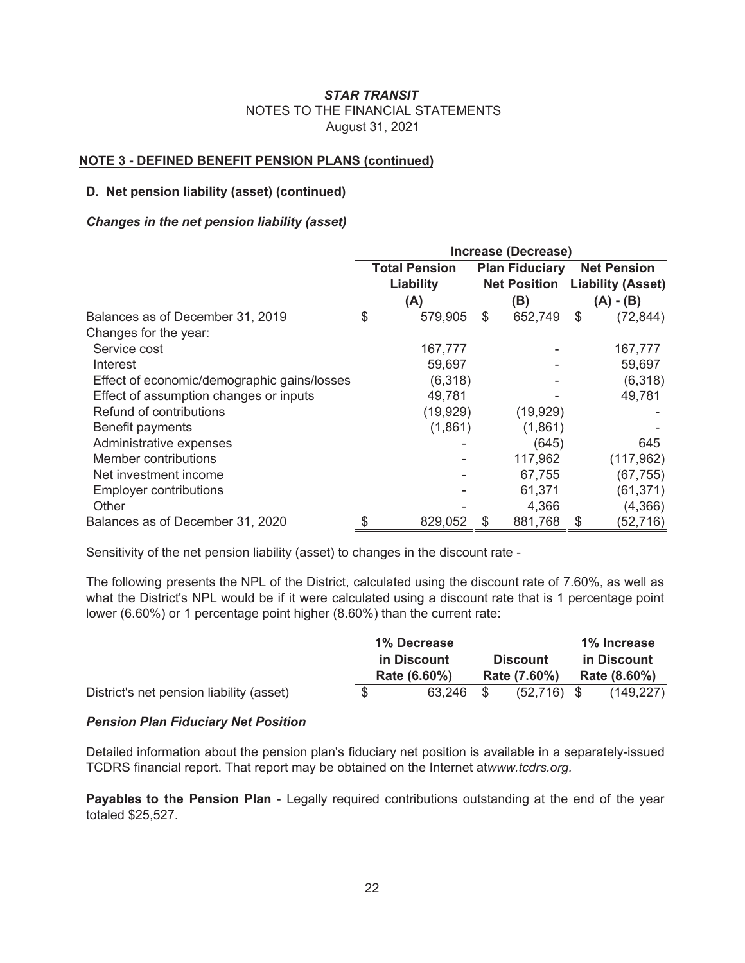#### **NOTE 3 - DEFINED BENEFIT PENSION PLANS (continued)**

#### **D. Net pension liability (asset) (continued)**

#### *Changes in the net pension liability (asset)*

|                                             | Increase (Decrease) |                      |                       |                     |    |                          |  |
|---------------------------------------------|---------------------|----------------------|-----------------------|---------------------|----|--------------------------|--|
|                                             |                     | <b>Total Pension</b> | <b>Plan Fiduciary</b> |                     |    | <b>Net Pension</b>       |  |
|                                             |                     | Liability            |                       | <b>Net Position</b> |    | <b>Liability (Asset)</b> |  |
|                                             |                     | (A)                  |                       | (B)                 |    | $(A) - (B)$              |  |
| Balances as of December 31, 2019            | \$                  | 579,905              | \$                    | 652,749             | \$ | (72, 844)                |  |
| Changes for the year:                       |                     |                      |                       |                     |    |                          |  |
| Service cost                                |                     | 167,777              |                       |                     |    | 167,777                  |  |
| Interest                                    |                     | 59,697               |                       |                     |    | 59,697                   |  |
| Effect of economic/demographic gains/losses |                     | (6,318)              |                       |                     |    | (6,318)                  |  |
| Effect of assumption changes or inputs      |                     | 49,781               |                       |                     |    | 49,781                   |  |
| Refund of contributions                     |                     | (19, 929)            |                       | (19, 929)           |    |                          |  |
| Benefit payments                            |                     | (1,861)              |                       | (1,861)             |    |                          |  |
| Administrative expenses                     |                     |                      |                       | (645)               |    | 645                      |  |
| Member contributions                        |                     |                      |                       | 117,962             |    | (117, 962)               |  |
| Net investment income                       |                     |                      |                       | 67,755              |    | (67, 755)                |  |
| <b>Employer contributions</b>               |                     |                      |                       | 61,371              |    | (61, 371)                |  |
| Other                                       |                     |                      |                       | 4,366               |    | (4, 366)                 |  |
| Balances as of December 31, 2020            | \$                  | 829,052              | \$                    | 881,768             | \$ | (52,716)                 |  |

Sensitivity of the net pension liability (asset) to changes in the discount rate -

The following presents the NPL of the District, calculated using the discount rate of 7.60%, as well as what the District's NPL would be if it were calculated using a discount rate that is 1 percentage point lower (6.60%) or 1 percentage point higher (8.60%) than the current rate:

|                                          | 1% Decrease  |  |                 | 1% Increase |              |  |
|------------------------------------------|--------------|--|-----------------|-------------|--------------|--|
|                                          | in Discount  |  | <b>Discount</b> | in Discount |              |  |
|                                          | Rate (6.60%) |  | Rate (7.60%)    |             | Rate (8.60%) |  |
| District's net pension liability (asset) | 63.246 \$    |  | $(52,716)$ \$   |             | (149, 227)   |  |

#### *Pension Plan Fiduciary Net Position*

Detailed information about the pension plan's fiduciary net position is available in a separately-issued TCDRS financial report. That report may be obtained on the Internet atwww.tcdrs.org.

**Payables to the Pension Plan** - Legally required contributions outstanding at the end of the year totaled \$25,527.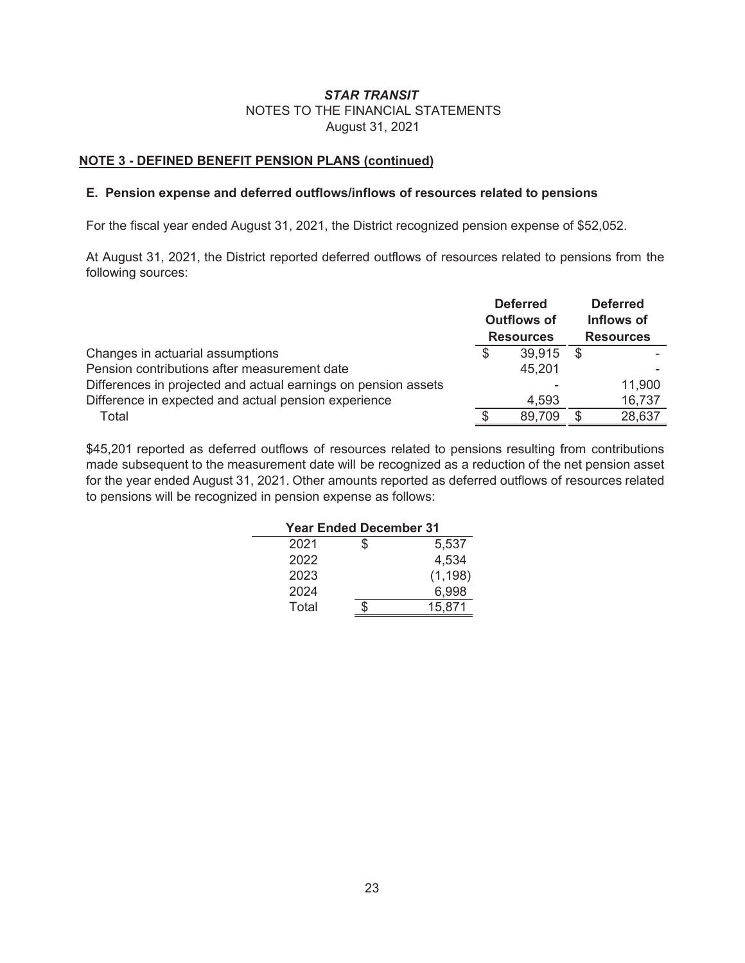#### **NOTE 3 - DEFINED BENEFIT PENSION PLANS (continued)**

#### **E. Pension expense and deferred outflows/inflows of resources related to pensions**

For the fiscal year ended August 31, 2021, the District recognized pension expense of \$52,052.

At August 31, 2021, the District reported deferred outflows of resources related to pensions from the following sources:

|                                                                |   | <b>Deferred</b>    | <b>Deferred</b> |                  |  |
|----------------------------------------------------------------|---|--------------------|-----------------|------------------|--|
|                                                                |   | <b>Outflows of</b> | Inflows of      |                  |  |
|                                                                |   | <b>Resources</b>   |                 | <b>Resources</b> |  |
| Changes in actuarial assumptions                               | S | 39.915             | - \$            |                  |  |
| Pension contributions after measurement date                   |   | 45,201             |                 |                  |  |
| Differences in projected and actual earnings on pension assets |   |                    |                 | 11,900           |  |
| Difference in expected and actual pension experience           |   | 4.593              |                 | 16,737           |  |
| Total                                                          |   | 89,709             | S               | 28,637           |  |

\$45,201 reported as deferred outflows of resources related to pensions resulting from contributions made subsequent to the measurement date will be recognized as a reduction of the net pension asset for the year ended August 31, 2021. Other amounts reported as deferred outflows of resources related to pensions will be recognized in pension expense as follows:

| <b>Year Ended December 31</b> |             |
|-------------------------------|-------------|
| 2021                          | \$<br>5,537 |
| 2022                          | 4,534       |
| 2023                          | (1, 198)    |
| 2024                          | 6.998       |
| Total                         | 15,871      |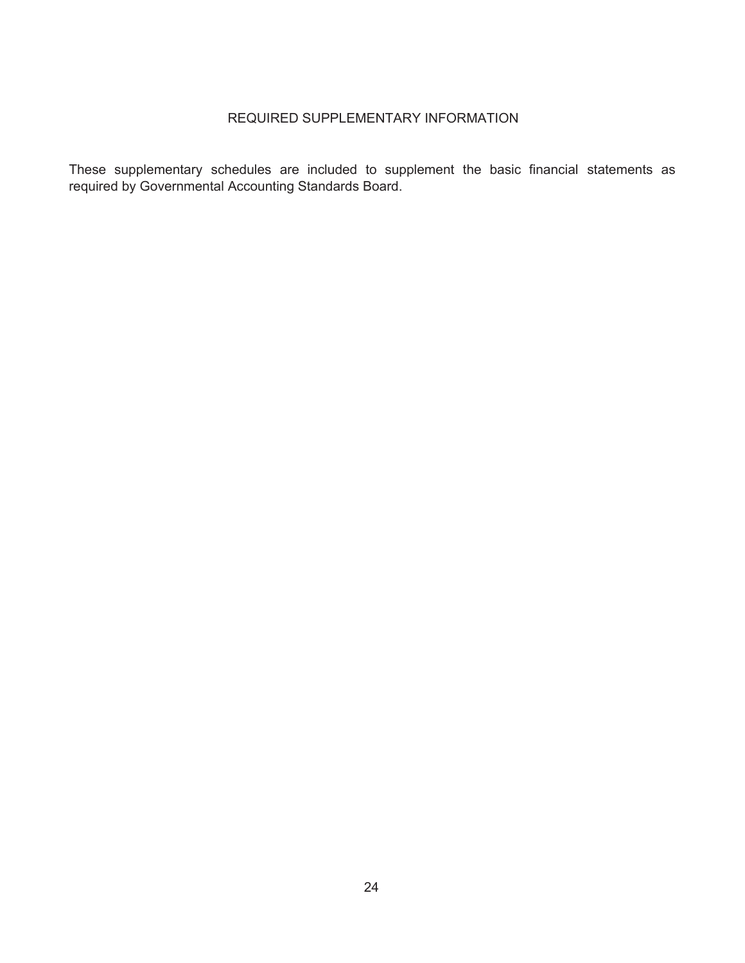### REQUIRED SUPPLEMENTARY INFORMATION

These supplementary schedules are included to supplement the basic financial statements as required by Governmental Accounting Standards Board.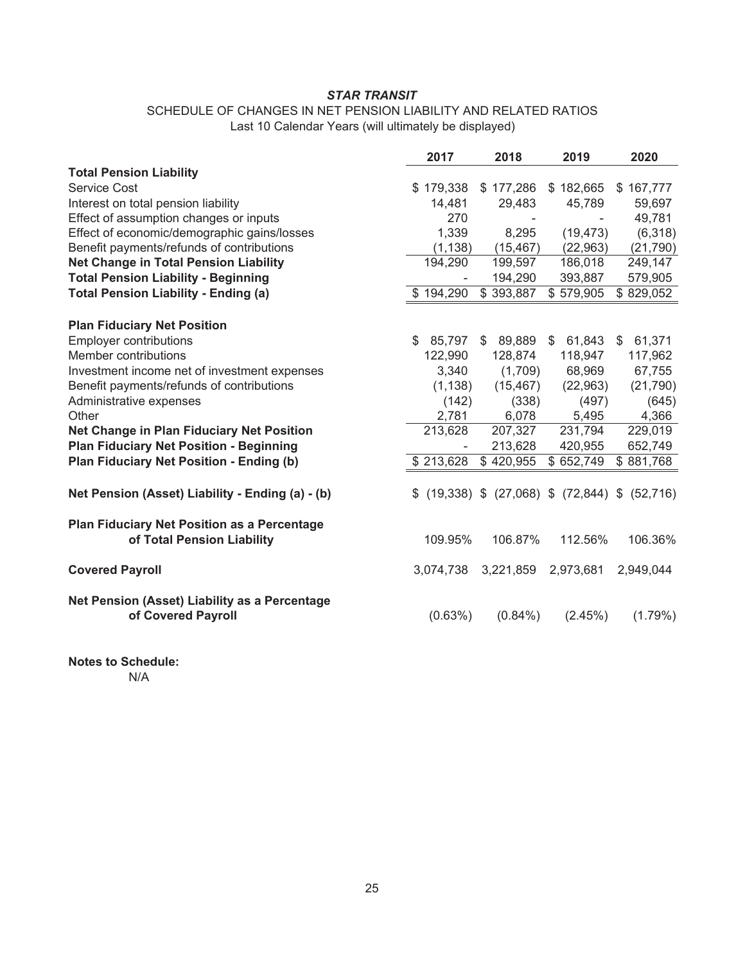#### SCHEDULE OF CHANGES IN NET PENSION LIABILITY AND RELATED RATIOS Last 10 Calendar Years (will ultimately be displayed)

|                                                                           | 2017         | 2018                                       | 2019      | 2020      |
|---------------------------------------------------------------------------|--------------|--------------------------------------------|-----------|-----------|
| <b>Total Pension Liability</b>                                            |              |                                            |           |           |
| Service Cost                                                              | \$179,338    | \$177,286                                  | \$182,665 | \$167,777 |
| Interest on total pension liability                                       | 14,481       | 29,483                                     | 45,789    | 59,697    |
| Effect of assumption changes or inputs                                    | 270          |                                            |           | 49,781    |
| Effect of economic/demographic gains/losses                               | 1,339        | 8,295                                      | (19, 473) | (6,318)   |
| Benefit payments/refunds of contributions                                 | (1, 138)     | (15, 467)                                  | (22,963)  | (21, 790) |
| <b>Net Change in Total Pension Liability</b>                              | 194,290      | 199,597                                    | 186,018   | 249,147   |
| <b>Total Pension Liability - Beginning</b>                                |              | 194,290                                    | 393,887   | 579,905   |
| <b>Total Pension Liability - Ending (a)</b>                               | \$194,290    | \$393,887                                  | \$579,905 | \$829,052 |
| <b>Plan Fiduciary Net Position</b>                                        |              |                                            |           |           |
| <b>Employer contributions</b>                                             | \$<br>85,797 | 89,889<br>\$                               | \$61,843  | \$61,371  |
| Member contributions                                                      | 122,990      | 128,874                                    | 118,947   | 117,962   |
| Investment income net of investment expenses                              | 3,340        | (1,709)                                    | 68,969    | 67,755    |
| Benefit payments/refunds of contributions                                 | (1, 138)     | (15, 467)                                  | (22, 963) | (21, 790) |
| Administrative expenses                                                   | (142)        | (338)                                      | (497)     | (645)     |
| Other                                                                     | 2,781        | 6,078                                      | 5,495     | 4,366     |
| <b>Net Change in Plan Fiduciary Net Position</b>                          | 213,628      | 207,327                                    | 231,794   | 229,019   |
| <b>Plan Fiduciary Net Position - Beginning</b>                            |              | 213,628                                    | 420,955   | 652,749   |
| Plan Fiduciary Net Position - Ending (b)                                  | \$213,628    | \$420,955                                  | \$652,749 | \$881,768 |
| Net Pension (Asset) Liability - Ending (a) - (b)                          |              | $$$ (19,338) $$$ (27,068) $$$ (72,844) $$$ |           | (52, 716) |
| Plan Fiduciary Net Position as a Percentage<br>of Total Pension Liability | 109.95%      | 106.87%                                    | 112.56%   | 106.36%   |
| <b>Covered Payroll</b>                                                    | 3,074,738    | 3,221,859                                  | 2,973,681 | 2,949,044 |
| Net Pension (Asset) Liability as a Percentage<br>of Covered Payroll       | $(0.63\%)$   | $(0.84\%)$                                 | (2.45%)   | (1.79%)   |

**Notes to Schedule:**  N/A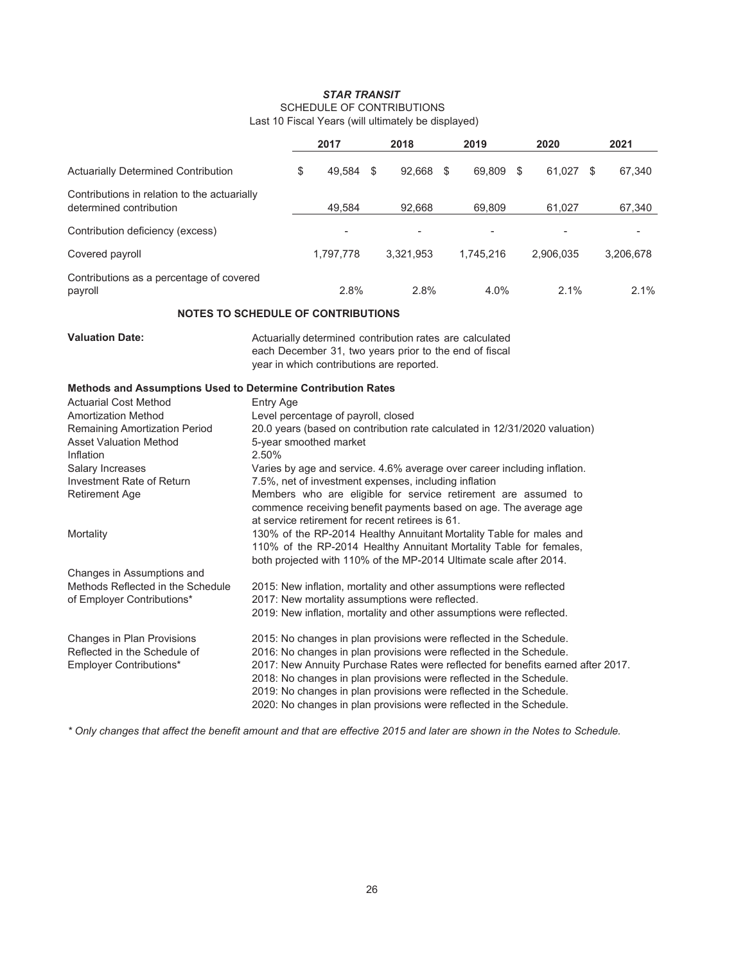## *STAR TRANSIT* SCHEDULE OF CONTRIBUTIONS

|                                                                         | 2017         |      | 2018      | 2019         |   | 2020      |    | 2021      |
|-------------------------------------------------------------------------|--------------|------|-----------|--------------|---|-----------|----|-----------|
| <b>Actuarially Determined Contribution</b>                              | \$<br>49.584 | - \$ | 92.668    | \$<br>69.809 | S | 61.027    | -S | 67,340    |
| Contributions in relation to the actuarially<br>determined contribution | 49.584       |      | 92.668    | 69,809       |   | 61.027    |    | 67,340    |
| Contribution deficiency (excess)                                        | ٠            |      |           |              |   | -         |    |           |
| Covered payroll                                                         | 1,797,778    |      | 3.321.953 | 1,745,216    |   | 2.906.035 |    | 3,206,678 |
| Contributions as a percentage of covered<br>payroll                     | 2.8%         |      | 2.8%      | 4.0%         |   | 2.1%      |    | 2.1%      |

#### Last 10 Fiscal Years (will ultimately be displayed)

#### **NOTES TO SCHEDULE OF CONTRIBUTIONS**

**Valuation Date:**

Actuarially determined contribution rates are calculated each December 31, two years prior to the end of fiscal

year in which contributions are reported.

#### **Methods and Assumptions Used to Determine Contribution Rates**

| <b>Actuarial Cost Method</b>         | Entry Age                                                                       |
|--------------------------------------|---------------------------------------------------------------------------------|
| <b>Amortization Method</b>           | Level percentage of payroll, closed                                             |
| <b>Remaining Amortization Period</b> | 20.0 years (based on contribution rate calculated in 12/31/2020 valuation)      |
| <b>Asset Valuation Method</b>        | 5-year smoothed market                                                          |
| Inflation                            | 2.50%                                                                           |
| <b>Salary Increases</b>              | Varies by age and service. 4.6% average over career including inflation.        |
| Investment Rate of Return            | 7.5%, net of investment expenses, including inflation                           |
| <b>Retirement Age</b>                | Members who are eligible for service retirement are assumed to                  |
|                                      | commence receiving benefit payments based on age. The average age               |
|                                      | at service retirement for recent retirees is 61.                                |
| Mortality                            | 130% of the RP-2014 Healthy Annuitant Mortality Table for males and             |
|                                      | 110% of the RP-2014 Healthy Annuitant Mortality Table for females.              |
|                                      | both projected with 110% of the MP-2014 Ultimate scale after 2014.              |
| Changes in Assumptions and           |                                                                                 |
| Methods Reflected in the Schedule    | 2015: New inflation, mortality and other assumptions were reflected             |
| of Employer Contributions*           | 2017: New mortality assumptions were reflected.                                 |
|                                      | 2019: New inflation, mortality and other assumptions were reflected.            |
| Changes in Plan Provisions           | 2015: No changes in plan provisions were reflected in the Schedule.             |
| Reflected in the Schedule of         | 2016: No changes in plan provisions were reflected in the Schedule.             |
| Employer Contributions*              | 2017: New Annuity Purchase Rates were reflected for benefits earned after 2017. |
|                                      | 2018: No changes in plan provisions were reflected in the Schedule.             |
|                                      | 2019: No changes in plan provisions were reflected in the Schedule.             |
|                                      | 2020: No changes in plan provisions were reflected in the Schedule.             |

*\* Only changes that affect the benefit amount and that are effective 2015 and later are shown in the Notes to Schedule.*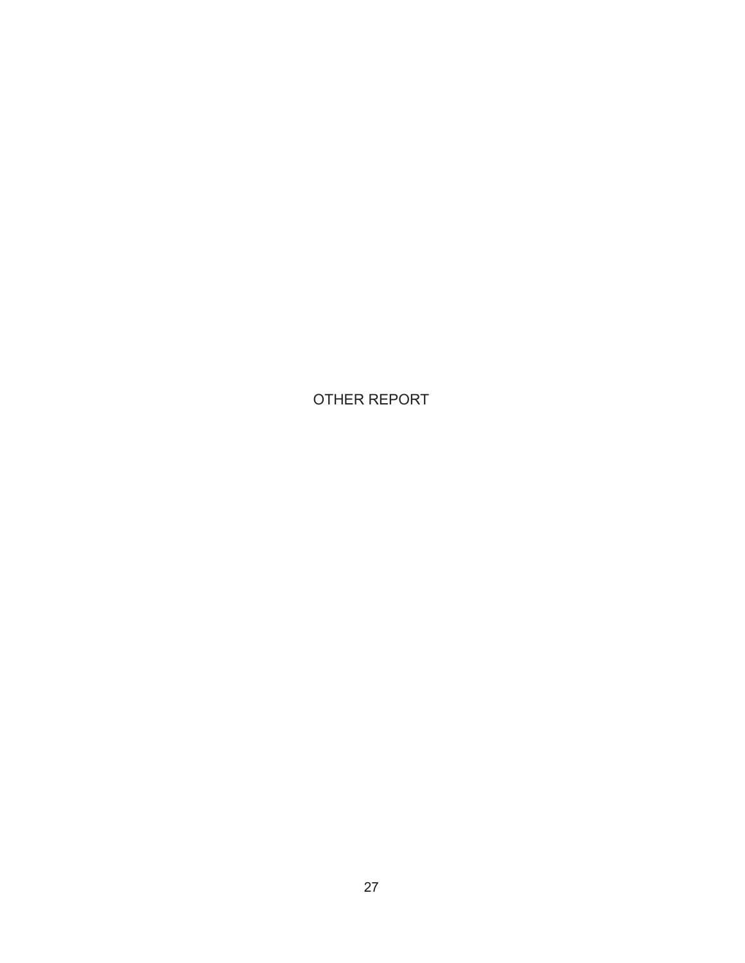OTHER REPORT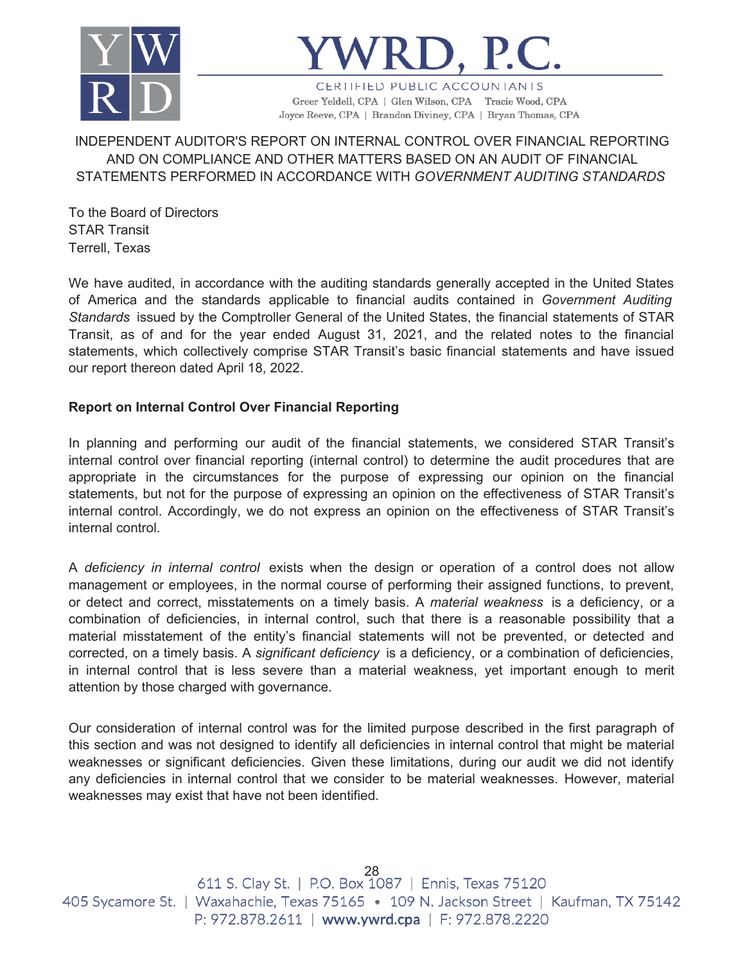



CERTIFIED PUBLIC ACCOUNTANTS Greer Yeldell, CPA | Glen Wilson, CPA Tracie Wood, CPA Joyce Reeve, CPA | Brandon Diviney, CPA | Bryan Thomas, CPA

INDEPENDENT AUDITOR'S REPORT ON INTERNAL CONTROL OVER FINANCIAL REPORTING AND ON COMPLIANCE AND OTHER MATTERS BASED ON AN AUDIT OF FINANCIAL STATEMENTS PERFORMED IN ACCORDANCE WITH *GOVERNMENT AUDITING STANDARDS*

To the Board of Directors STAR Transit Terrell, Texas

We have audited, in accordance with the auditing standards generally accepted in the United States of America and the standards applicable to financial audits contained in *Government Auditing Standards* issued by the Comptroller General of the United States, the financial statements of STAR Transit, as of and for the year ended August 31, 2021, and the related notes to the financial statements, which collectively comprise STAR Transit's basic financial statements and have issued our report thereon dated April 18, 2022.

## **Report on Internal Control Over Financial Reporting**

In planning and performing our audit of the financial statements, we considered STAR Transit's internal control over financial reporting (internal control) to determine the audit procedures that are appropriate in the circumstances for the purpose of expressing our opinion on the financial statements, but not for the purpose of expressing an opinion on the effectiveness of STAR Transit's internal control. Accordingly, we do not express an opinion on the effectiveness of STAR Transit's internal control.

A *deficiency in internal control* exists when the design or operation of a control does not allow management or employees, in the normal course of performing their assigned functions, to prevent, or detect and correct, misstatements on a timely basis. A *material weakness* is a deficiency, or a combination of deficiencies, in internal control, such that there is a reasonable possibility that a material misstatement of the entity's financial statements will not be prevented, or detected and corrected, on a timely basis. A *significant deficiency* is a deficiency, or a combination of deficiencies, in internal control that is less severe than a material weakness, yet important enough to merit attention by those charged with governance.

Our consideration of internal control was for the limited purpose described in the first paragraph of this section and was not designed to identify all deficiencies in internal control that might be material weaknesses or significant deficiencies. Given these limitations, during our audit we did not identify any deficiencies in internal control that we consider to be material weaknesses. However, material weaknesses may exist that have not been identified.